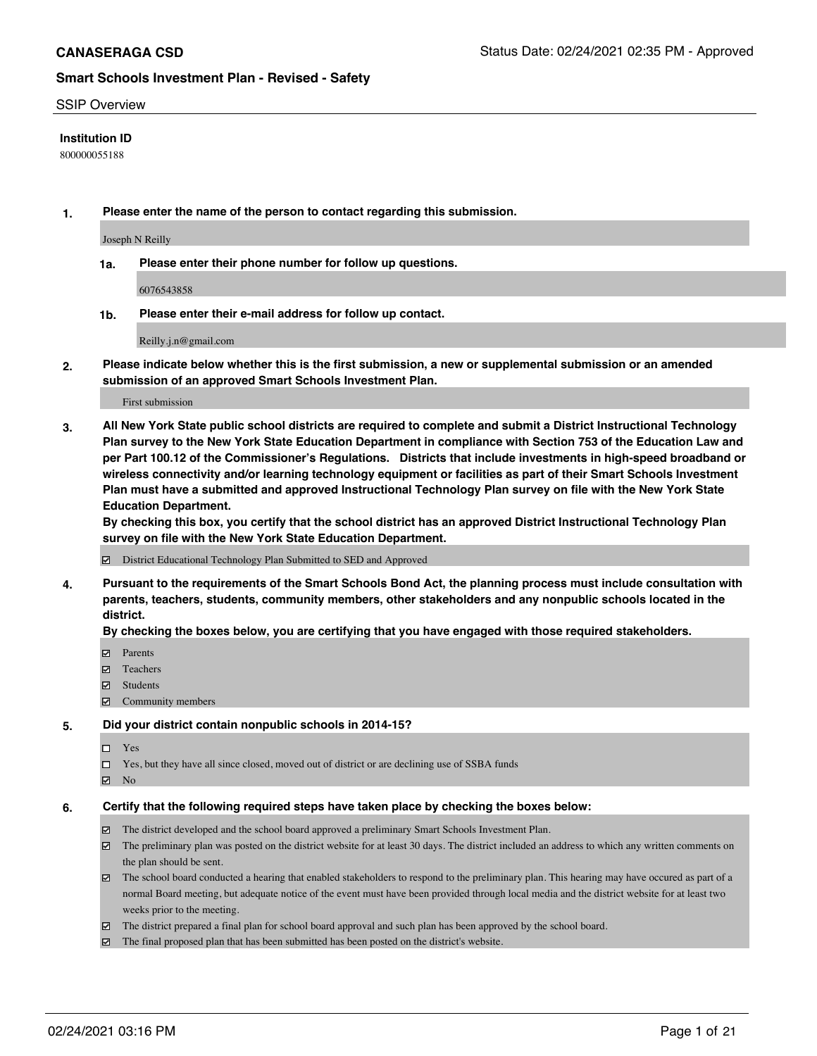#### SSIP Overview

### **Institution ID**

800000055188

**1. Please enter the name of the person to contact regarding this submission.**

Joseph N Reilly

**1a. Please enter their phone number for follow up questions.**

6076543858

**1b. Please enter their e-mail address for follow up contact.**

Reilly.j.n@gmail.com

**2. Please indicate below whether this is the first submission, a new or supplemental submission or an amended submission of an approved Smart Schools Investment Plan.**

#### First submission

**3. All New York State public school districts are required to complete and submit a District Instructional Technology Plan survey to the New York State Education Department in compliance with Section 753 of the Education Law and per Part 100.12 of the Commissioner's Regulations. Districts that include investments in high-speed broadband or wireless connectivity and/or learning technology equipment or facilities as part of their Smart Schools Investment Plan must have a submitted and approved Instructional Technology Plan survey on file with the New York State Education Department.** 

**By checking this box, you certify that the school district has an approved District Instructional Technology Plan survey on file with the New York State Education Department.**

District Educational Technology Plan Submitted to SED and Approved

**4. Pursuant to the requirements of the Smart Schools Bond Act, the planning process must include consultation with parents, teachers, students, community members, other stakeholders and any nonpublic schools located in the district.** 

#### **By checking the boxes below, you are certifying that you have engaged with those required stakeholders.**

- **Ø** Parents
- **☑** Teachers
- Students
- Community members

#### **5. Did your district contain nonpublic schools in 2014-15?**

- □ Yes
- □ Yes, but they have all since closed, moved out of district or are declining use of SSBA funds
- **Ø** No

#### **6. Certify that the following required steps have taken place by checking the boxes below:**

- The district developed and the school board approved a preliminary Smart Schools Investment Plan.
- The preliminary plan was posted on the district website for at least 30 days. The district included an address to which any written comments on the plan should be sent.
- The school board conducted a hearing that enabled stakeholders to respond to the preliminary plan. This hearing may have occured as part of a normal Board meeting, but adequate notice of the event must have been provided through local media and the district website for at least two weeks prior to the meeting.
- The district prepared a final plan for school board approval and such plan has been approved by the school board.
- $\boxtimes$  The final proposed plan that has been submitted has been posted on the district's website.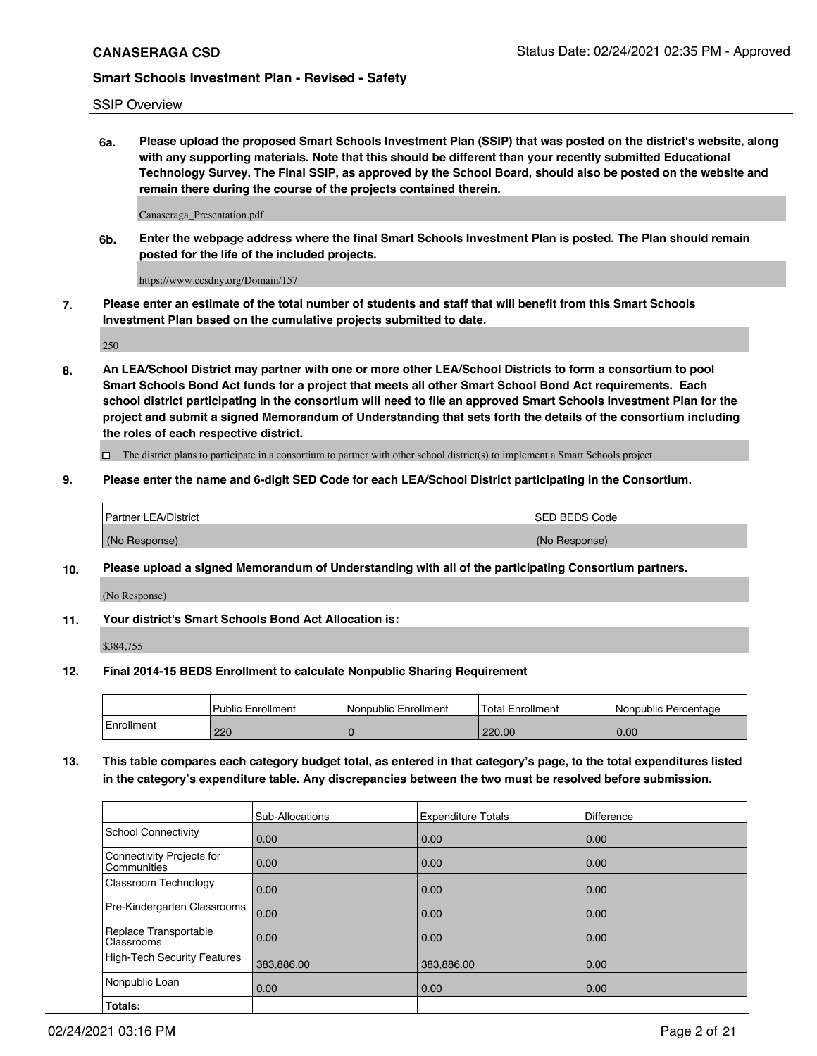SSIP Overview

**6a. Please upload the proposed Smart Schools Investment Plan (SSIP) that was posted on the district's website, along with any supporting materials. Note that this should be different than your recently submitted Educational Technology Survey. The Final SSIP, as approved by the School Board, should also be posted on the website and remain there during the course of the projects contained therein.**

Canaseraga\_Presentation.pdf

**6b. Enter the webpage address where the final Smart Schools Investment Plan is posted. The Plan should remain posted for the life of the included projects.**

https://www.ccsdny.org/Domain/157

**7. Please enter an estimate of the total number of students and staff that will benefit from this Smart Schools Investment Plan based on the cumulative projects submitted to date.**

250

**8. An LEA/School District may partner with one or more other LEA/School Districts to form a consortium to pool Smart Schools Bond Act funds for a project that meets all other Smart School Bond Act requirements. Each school district participating in the consortium will need to file an approved Smart Schools Investment Plan for the project and submit a signed Memorandum of Understanding that sets forth the details of the consortium including the roles of each respective district.**

 $\Box$  The district plans to participate in a consortium to partner with other school district(s) to implement a Smart Schools project.

### **9. Please enter the name and 6-digit SED Code for each LEA/School District participating in the Consortium.**

| Partner LEA/District | <b>ISED BEDS Code</b> |
|----------------------|-----------------------|
| (No Response)        | (No Response)         |

### **10. Please upload a signed Memorandum of Understanding with all of the participating Consortium partners.**

(No Response)

**11. Your district's Smart Schools Bond Act Allocation is:**

\$384,755

### **12. Final 2014-15 BEDS Enrollment to calculate Nonpublic Sharing Requirement**

|            | <b>I Public Enrollment</b> | Nonpublic Enrollment | <b>Total Enrollment</b> | l Nonpublic Percentage |
|------------|----------------------------|----------------------|-------------------------|------------------------|
| Enrollment | 220                        |                      | 220.00                  | 0.00                   |

**13. This table compares each category budget total, as entered in that category's page, to the total expenditures listed in the category's expenditure table. Any discrepancies between the two must be resolved before submission.**

|                                          | Sub-Allocations | <b>Expenditure Totals</b> | Difference |
|------------------------------------------|-----------------|---------------------------|------------|
| <b>School Connectivity</b>               | 0.00            | 0.00                      | 0.00       |
| Connectivity Projects for<br>Communities | 0.00            | 0.00                      | 0.00       |
| Classroom Technology                     | 0.00            | 0.00                      | 0.00       |
| Pre-Kindergarten Classrooms              | 0.00            | 0.00                      | 0.00       |
| Replace Transportable<br>Classrooms      | 0.00            | 0.00                      | 0.00       |
| <b>High-Tech Security Features</b>       | 383,886.00      | 383,886.00                | 0.00       |
| Nonpublic Loan                           | 0.00            | 0.00                      | 0.00       |
| Totals:                                  |                 |                           |            |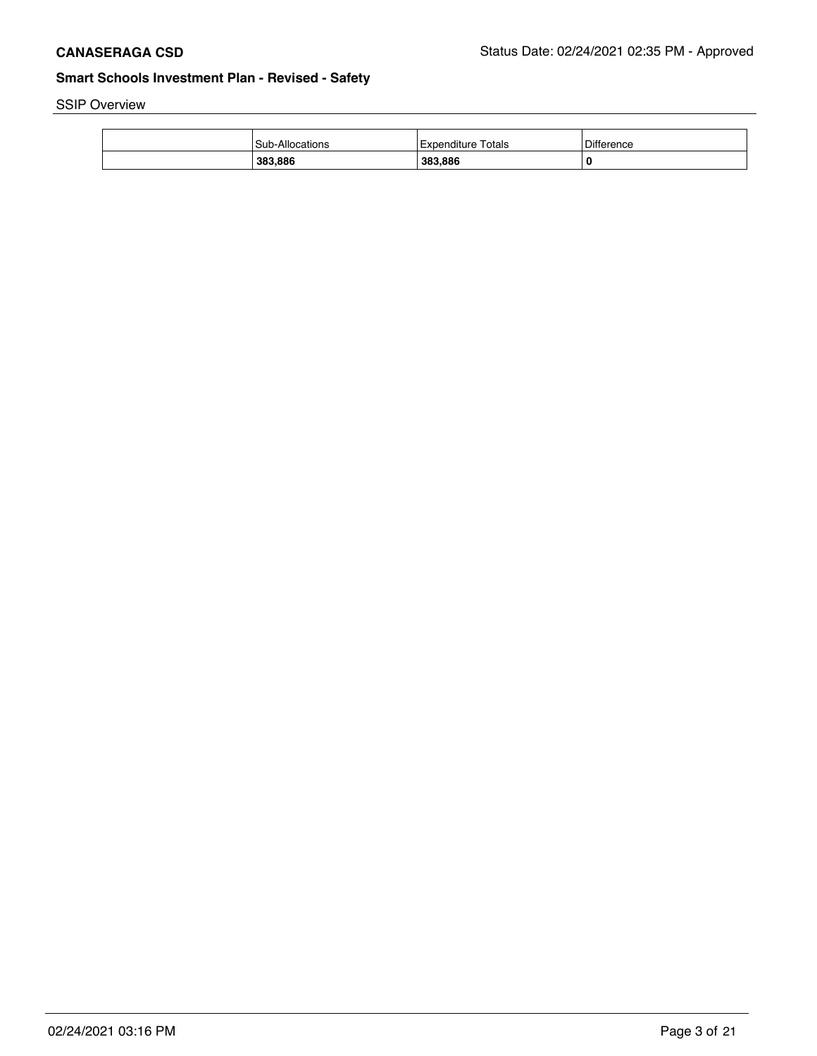SSIP Overview

| Sub-Allocations | Totals<br>l Expenditure | <b>Difference</b> |
|-----------------|-------------------------|-------------------|
| 383,886         | 383,886                 | 0                 |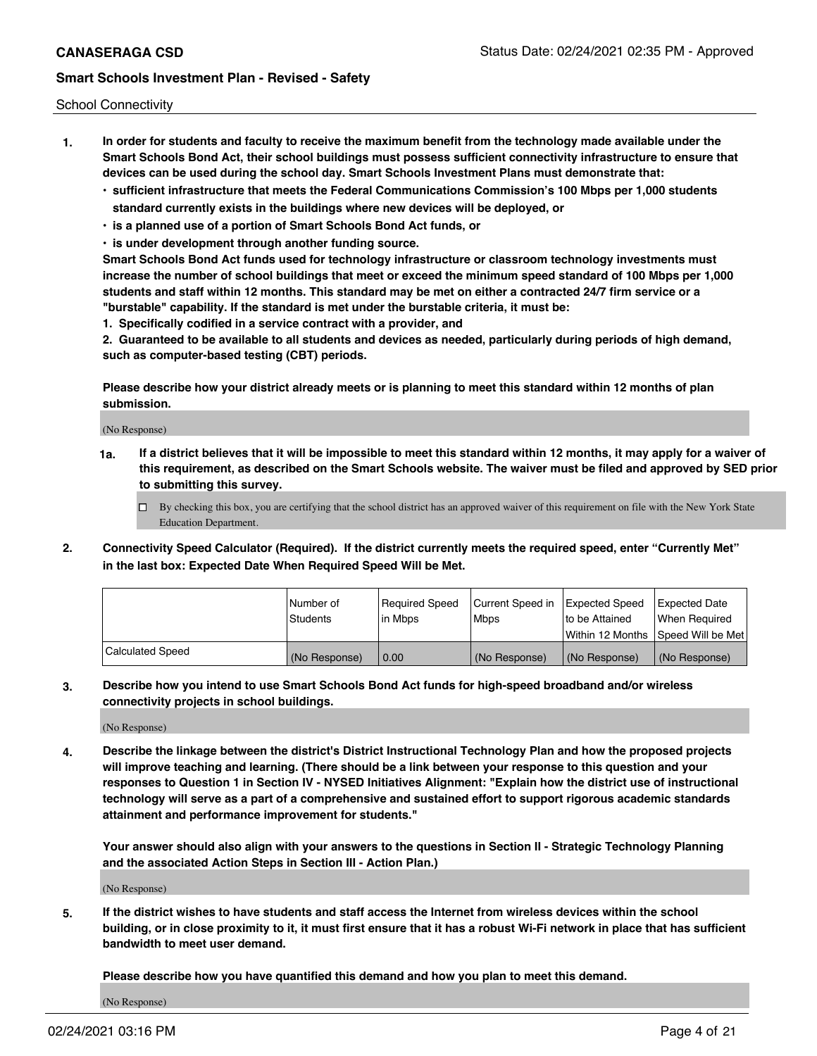School Connectivity

- **1. In order for students and faculty to receive the maximum benefit from the technology made available under the Smart Schools Bond Act, their school buildings must possess sufficient connectivity infrastructure to ensure that devices can be used during the school day. Smart Schools Investment Plans must demonstrate that:**
	- **• sufficient infrastructure that meets the Federal Communications Commission's 100 Mbps per 1,000 students standard currently exists in the buildings where new devices will be deployed, or**
	- **• is a planned use of a portion of Smart Schools Bond Act funds, or**
	- **• is under development through another funding source.**

**Smart Schools Bond Act funds used for technology infrastructure or classroom technology investments must increase the number of school buildings that meet or exceed the minimum speed standard of 100 Mbps per 1,000 students and staff within 12 months. This standard may be met on either a contracted 24/7 firm service or a "burstable" capability. If the standard is met under the burstable criteria, it must be:**

**1. Specifically codified in a service contract with a provider, and**

**2. Guaranteed to be available to all students and devices as needed, particularly during periods of high demand, such as computer-based testing (CBT) periods.**

**Please describe how your district already meets or is planning to meet this standard within 12 months of plan submission.**

(No Response)

**1a. If a district believes that it will be impossible to meet this standard within 12 months, it may apply for a waiver of this requirement, as described on the Smart Schools website. The waiver must be filed and approved by SED prior to submitting this survey.**

 $\Box$  By checking this box, you are certifying that the school district has an approved waiver of this requirement on file with the New York State Education Department.

**2. Connectivity Speed Calculator (Required). If the district currently meets the required speed, enter "Currently Met" in the last box: Expected Date When Required Speed Will be Met.**

|                  | l Number of   | Required Speed | Current Speed in | Expected Speed  | <b>Expected Date</b>                    |
|------------------|---------------|----------------|------------------|-----------------|-----------------------------------------|
|                  | Students      | l in Mbps      | Mbps             | Ito be Attained | When Required                           |
|                  |               |                |                  |                 | l Within 12 Months ISpeed Will be Met l |
| Calculated Speed | (No Response) | 0.00           | (No Response)    | (No Response)   | l (No Response)                         |

**3. Describe how you intend to use Smart Schools Bond Act funds for high-speed broadband and/or wireless connectivity projects in school buildings.**

(No Response)

**4. Describe the linkage between the district's District Instructional Technology Plan and how the proposed projects will improve teaching and learning. (There should be a link between your response to this question and your responses to Question 1 in Section IV - NYSED Initiatives Alignment: "Explain how the district use of instructional technology will serve as a part of a comprehensive and sustained effort to support rigorous academic standards attainment and performance improvement for students."** 

**Your answer should also align with your answers to the questions in Section II - Strategic Technology Planning and the associated Action Steps in Section III - Action Plan.)**

(No Response)

**5. If the district wishes to have students and staff access the Internet from wireless devices within the school building, or in close proximity to it, it must first ensure that it has a robust Wi-Fi network in place that has sufficient bandwidth to meet user demand.**

**Please describe how you have quantified this demand and how you plan to meet this demand.**

(No Response)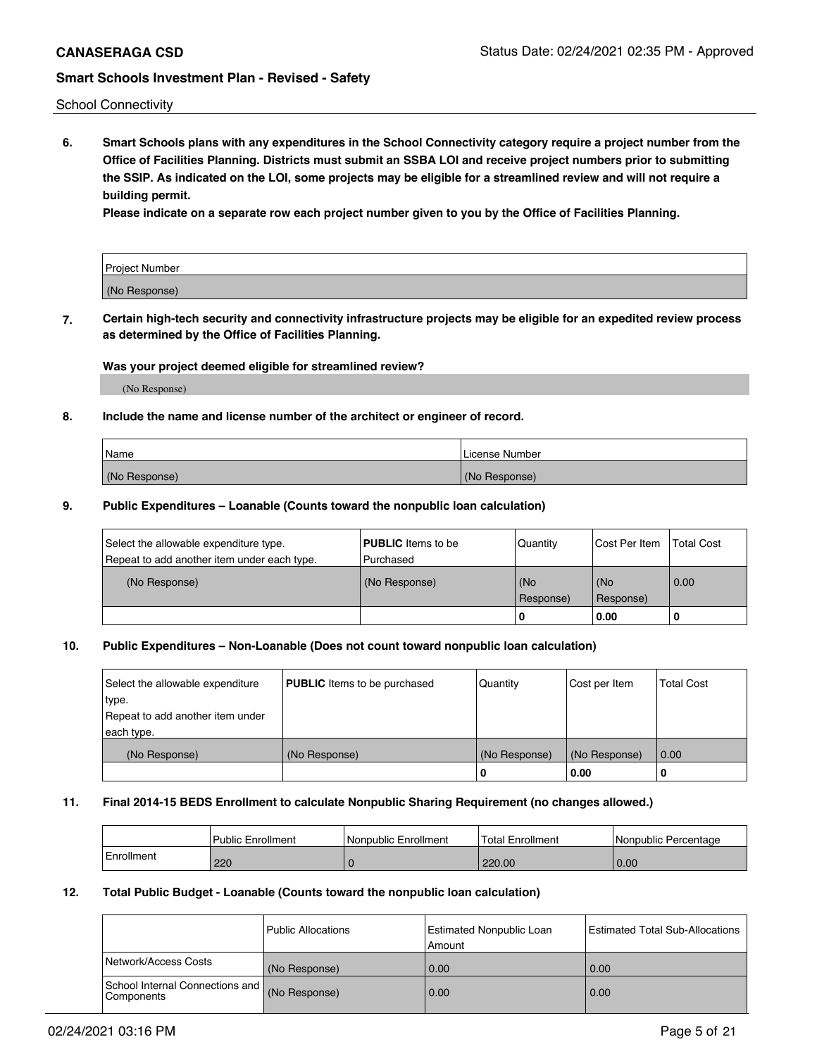School Connectivity

**6. Smart Schools plans with any expenditures in the School Connectivity category require a project number from the Office of Facilities Planning. Districts must submit an SSBA LOI and receive project numbers prior to submitting the SSIP. As indicated on the LOI, some projects may be eligible for a streamlined review and will not require a building permit.**

**Please indicate on a separate row each project number given to you by the Office of Facilities Planning.**

| Project Number |  |
|----------------|--|
| (No Response)  |  |

**7. Certain high-tech security and connectivity infrastructure projects may be eligible for an expedited review process as determined by the Office of Facilities Planning.**

### **Was your project deemed eligible for streamlined review?**

(No Response)

### **8. Include the name and license number of the architect or engineer of record.**

| Name          | License Number |
|---------------|----------------|
| (No Response) | (No Response)  |

#### **9. Public Expenditures – Loanable (Counts toward the nonpublic loan calculation)**

| Select the allowable expenditure type.<br>Repeat to add another item under each type. | <b>PUBLIC</b> Items to be<br>l Purchased | Quantity           | Cost Per Item    | <b>Total Cost</b> |
|---------------------------------------------------------------------------------------|------------------------------------------|--------------------|------------------|-------------------|
| (No Response)                                                                         | (No Response)                            | l (No<br>Response) | (No<br>Response) | 0.00              |
|                                                                                       |                                          | -0                 | 0.00             |                   |

### **10. Public Expenditures – Non-Loanable (Does not count toward nonpublic loan calculation)**

| Select the allowable expenditure<br>type.<br>Repeat to add another item under<br>each type. | <b>PUBLIC</b> Items to be purchased | Quantity      | Cost per Item | <b>Total Cost</b> |
|---------------------------------------------------------------------------------------------|-------------------------------------|---------------|---------------|-------------------|
| (No Response)                                                                               | (No Response)                       | (No Response) | (No Response) | 0.00              |
|                                                                                             |                                     | υ             | 0.00          |                   |

#### **11. Final 2014-15 BEDS Enrollment to calculate Nonpublic Sharing Requirement (no changes allowed.)**

|            | Public Enrollment | Nonpublic Enrollment | Total Enrollment | l Nonpublic Percentage |
|------------|-------------------|----------------------|------------------|------------------------|
| Enrollment | 220               |                      | 220.00           | 0.00                   |

#### **12. Total Public Budget - Loanable (Counts toward the nonpublic loan calculation)**

|                                                      | l Public Allocations | <b>Estimated Nonpublic Loan</b><br>Amount | Estimated Total Sub-Allocations |
|------------------------------------------------------|----------------------|-------------------------------------------|---------------------------------|
| Network/Access Costs                                 | (No Response)        | 0.00                                      | 0.00                            |
| School Internal Connections and<br><b>Components</b> | (No Response)        | 0.00                                      | 0.00                            |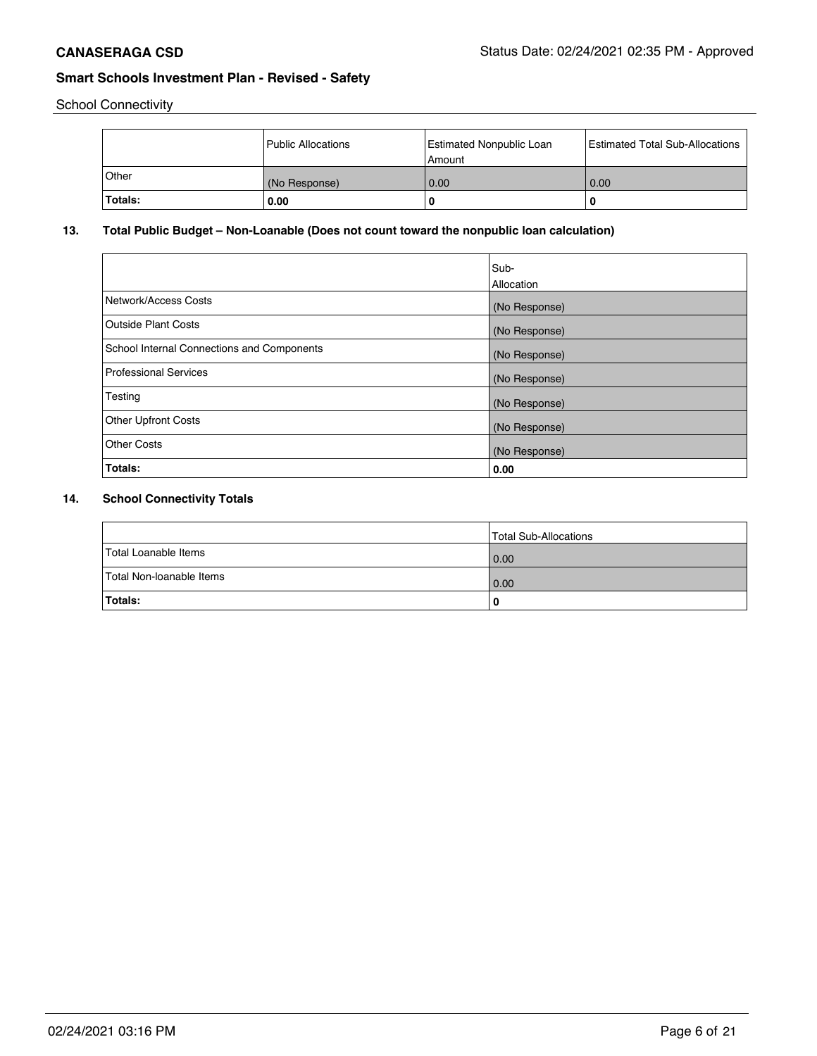School Connectivity

|                | Public Allocations | Estimated Nonpublic Loan<br>l Amount | <b>Estimated Total Sub-Allocations</b> |
|----------------|--------------------|--------------------------------------|----------------------------------------|
| ∣Other         | (No Response)      | 0.00                                 | 0.00                                   |
| <b>Totals:</b> | 0.00               | 0                                    |                                        |

## **13. Total Public Budget – Non-Loanable (Does not count toward the nonpublic loan calculation)**

|                                            | Sub-<br>Allocation |
|--------------------------------------------|--------------------|
| Network/Access Costs                       | (No Response)      |
| Outside Plant Costs                        | (No Response)      |
| School Internal Connections and Components | (No Response)      |
| <b>Professional Services</b>               | (No Response)      |
| Testing                                    | (No Response)      |
| <b>Other Upfront Costs</b>                 | (No Response)      |
| Other Costs                                | (No Response)      |
| Totals:                                    | 0.00               |

## **14. School Connectivity Totals**

|                          | Total Sub-Allocations |
|--------------------------|-----------------------|
| Total Loanable Items     | 0.00                  |
| Total Non-loanable Items | 0.00                  |
| Totals:                  |                       |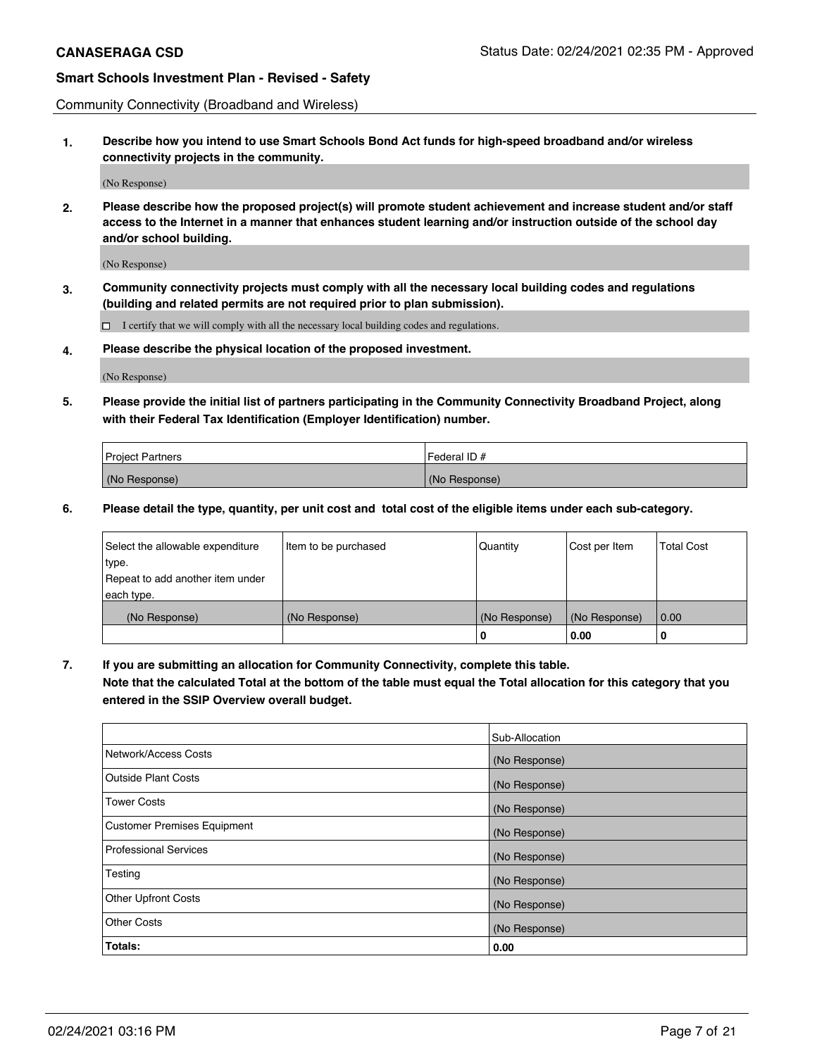Community Connectivity (Broadband and Wireless)

**1. Describe how you intend to use Smart Schools Bond Act funds for high-speed broadband and/or wireless connectivity projects in the community.**

(No Response)

**2. Please describe how the proposed project(s) will promote student achievement and increase student and/or staff access to the Internet in a manner that enhances student learning and/or instruction outside of the school day and/or school building.**

(No Response)

**3. Community connectivity projects must comply with all the necessary local building codes and regulations (building and related permits are not required prior to plan submission).**

 $\Box$  I certify that we will comply with all the necessary local building codes and regulations.

**4. Please describe the physical location of the proposed investment.**

(No Response)

**5. Please provide the initial list of partners participating in the Community Connectivity Broadband Project, along with their Federal Tax Identification (Employer Identification) number.**

| <b>Project Partners</b> | l Federal ID # |
|-------------------------|----------------|
| (No Response)           | (No Response)  |

**6. Please detail the type, quantity, per unit cost and total cost of the eligible items under each sub-category.**

| Select the allowable expenditure | Item to be purchased | Quantity      | Cost per Item | <b>Total Cost</b> |
|----------------------------------|----------------------|---------------|---------------|-------------------|
| type.                            |                      |               |               |                   |
| Repeat to add another item under |                      |               |               |                   |
| each type.                       |                      |               |               |                   |
| (No Response)                    | (No Response)        | (No Response) | (No Response) | 0.00              |
|                                  |                      | o             | 0.00          | 0                 |

**7. If you are submitting an allocation for Community Connectivity, complete this table.**

**Note that the calculated Total at the bottom of the table must equal the Total allocation for this category that you entered in the SSIP Overview overall budget.**

|                                    | Sub-Allocation |
|------------------------------------|----------------|
| Network/Access Costs               | (No Response)  |
| Outside Plant Costs                | (No Response)  |
| <b>Tower Costs</b>                 | (No Response)  |
| <b>Customer Premises Equipment</b> | (No Response)  |
| <b>Professional Services</b>       | (No Response)  |
| Testing                            | (No Response)  |
| <b>Other Upfront Costs</b>         | (No Response)  |
| <b>Other Costs</b>                 | (No Response)  |
| Totals:                            | 0.00           |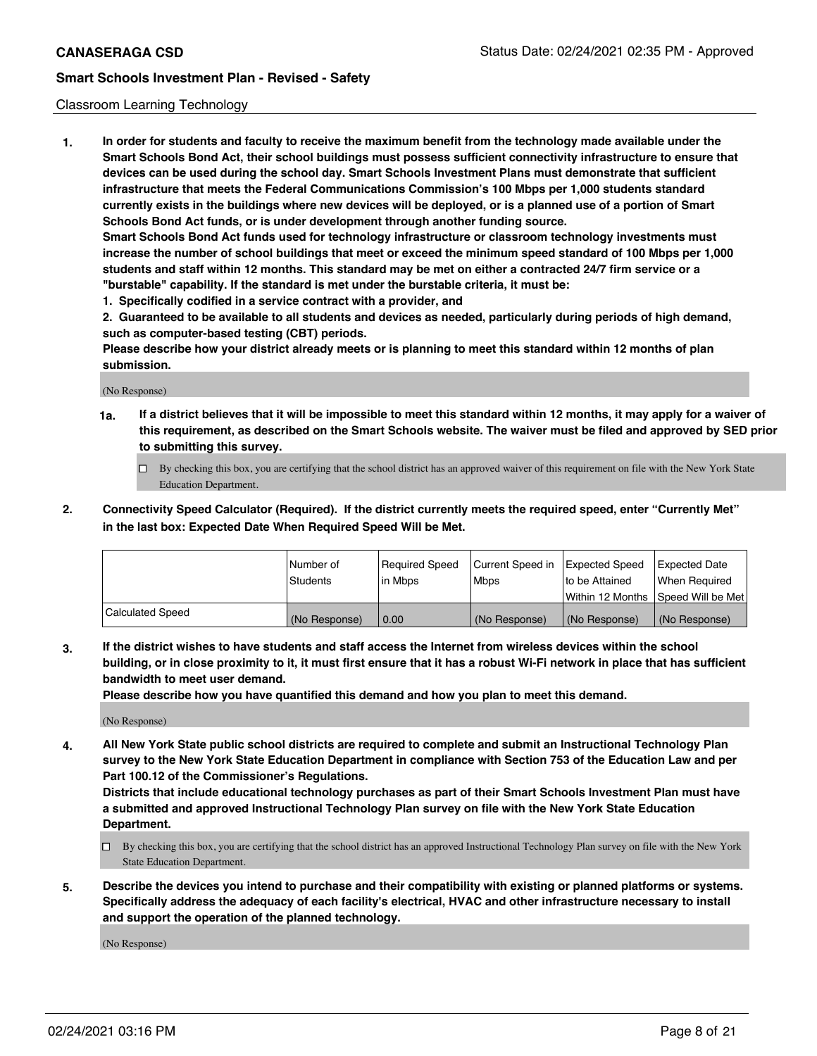#### Classroom Learning Technology

**1. In order for students and faculty to receive the maximum benefit from the technology made available under the Smart Schools Bond Act, their school buildings must possess sufficient connectivity infrastructure to ensure that devices can be used during the school day. Smart Schools Investment Plans must demonstrate that sufficient infrastructure that meets the Federal Communications Commission's 100 Mbps per 1,000 students standard currently exists in the buildings where new devices will be deployed, or is a planned use of a portion of Smart Schools Bond Act funds, or is under development through another funding source. Smart Schools Bond Act funds used for technology infrastructure or classroom technology investments must increase the number of school buildings that meet or exceed the minimum speed standard of 100 Mbps per 1,000 students and staff within 12 months. This standard may be met on either a contracted 24/7 firm service or a "burstable" capability. If the standard is met under the burstable criteria, it must be:**

**1. Specifically codified in a service contract with a provider, and**

**2. Guaranteed to be available to all students and devices as needed, particularly during periods of high demand, such as computer-based testing (CBT) periods.**

**Please describe how your district already meets or is planning to meet this standard within 12 months of plan submission.**

(No Response)

- **1a. If a district believes that it will be impossible to meet this standard within 12 months, it may apply for a waiver of this requirement, as described on the Smart Schools website. The waiver must be filed and approved by SED prior to submitting this survey.**
	- By checking this box, you are certifying that the school district has an approved waiver of this requirement on file with the New York State Education Department.
- **2. Connectivity Speed Calculator (Required). If the district currently meets the required speed, enter "Currently Met" in the last box: Expected Date When Required Speed Will be Met.**

|                         | l Number of   | Required Speed | Current Speed in | <b>Expected Speed</b> | <b>Expected Date</b>                |
|-------------------------|---------------|----------------|------------------|-----------------------|-------------------------------------|
|                         | Students      | l in Mbps      | l Mbps           | to be Attained        | When Required                       |
|                         |               |                |                  |                       | Within 12 Months  Speed Will be Met |
| <b>Calculated Speed</b> | (No Response) | 0.00           | (No Response)    | (No Response)         | (No Response)                       |

**3. If the district wishes to have students and staff access the Internet from wireless devices within the school building, or in close proximity to it, it must first ensure that it has a robust Wi-Fi network in place that has sufficient bandwidth to meet user demand.**

**Please describe how you have quantified this demand and how you plan to meet this demand.**

(No Response)

**4. All New York State public school districts are required to complete and submit an Instructional Technology Plan survey to the New York State Education Department in compliance with Section 753 of the Education Law and per Part 100.12 of the Commissioner's Regulations.**

**Districts that include educational technology purchases as part of their Smart Schools Investment Plan must have a submitted and approved Instructional Technology Plan survey on file with the New York State Education Department.**

- By checking this box, you are certifying that the school district has an approved Instructional Technology Plan survey on file with the New York State Education Department.
- **5. Describe the devices you intend to purchase and their compatibility with existing or planned platforms or systems. Specifically address the adequacy of each facility's electrical, HVAC and other infrastructure necessary to install and support the operation of the planned technology.**

(No Response)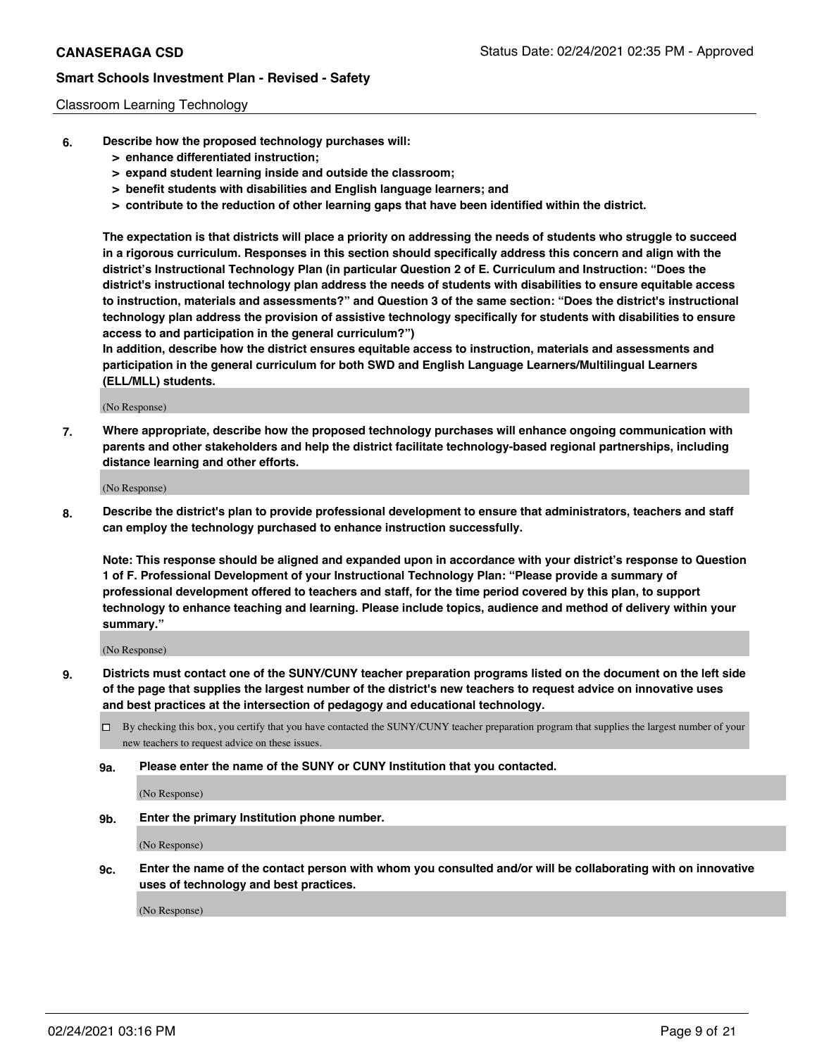#### Classroom Learning Technology

- **6. Describe how the proposed technology purchases will:**
	- **> enhance differentiated instruction;**
	- **> expand student learning inside and outside the classroom;**
	- **> benefit students with disabilities and English language learners; and**
	- **> contribute to the reduction of other learning gaps that have been identified within the district.**

**The expectation is that districts will place a priority on addressing the needs of students who struggle to succeed in a rigorous curriculum. Responses in this section should specifically address this concern and align with the district's Instructional Technology Plan (in particular Question 2 of E. Curriculum and Instruction: "Does the district's instructional technology plan address the needs of students with disabilities to ensure equitable access to instruction, materials and assessments?" and Question 3 of the same section: "Does the district's instructional technology plan address the provision of assistive technology specifically for students with disabilities to ensure access to and participation in the general curriculum?")**

**In addition, describe how the district ensures equitable access to instruction, materials and assessments and participation in the general curriculum for both SWD and English Language Learners/Multilingual Learners (ELL/MLL) students.**

(No Response)

**7. Where appropriate, describe how the proposed technology purchases will enhance ongoing communication with parents and other stakeholders and help the district facilitate technology-based regional partnerships, including distance learning and other efforts.**

(No Response)

**8. Describe the district's plan to provide professional development to ensure that administrators, teachers and staff can employ the technology purchased to enhance instruction successfully.**

**Note: This response should be aligned and expanded upon in accordance with your district's response to Question 1 of F. Professional Development of your Instructional Technology Plan: "Please provide a summary of professional development offered to teachers and staff, for the time period covered by this plan, to support technology to enhance teaching and learning. Please include topics, audience and method of delivery within your summary."**

(No Response)

- **9. Districts must contact one of the SUNY/CUNY teacher preparation programs listed on the document on the left side of the page that supplies the largest number of the district's new teachers to request advice on innovative uses and best practices at the intersection of pedagogy and educational technology.**
	- By checking this box, you certify that you have contacted the SUNY/CUNY teacher preparation program that supplies the largest number of your new teachers to request advice on these issues.
	- **9a. Please enter the name of the SUNY or CUNY Institution that you contacted.**

(No Response)

**9b. Enter the primary Institution phone number.**

(No Response)

**9c. Enter the name of the contact person with whom you consulted and/or will be collaborating with on innovative uses of technology and best practices.**

(No Response)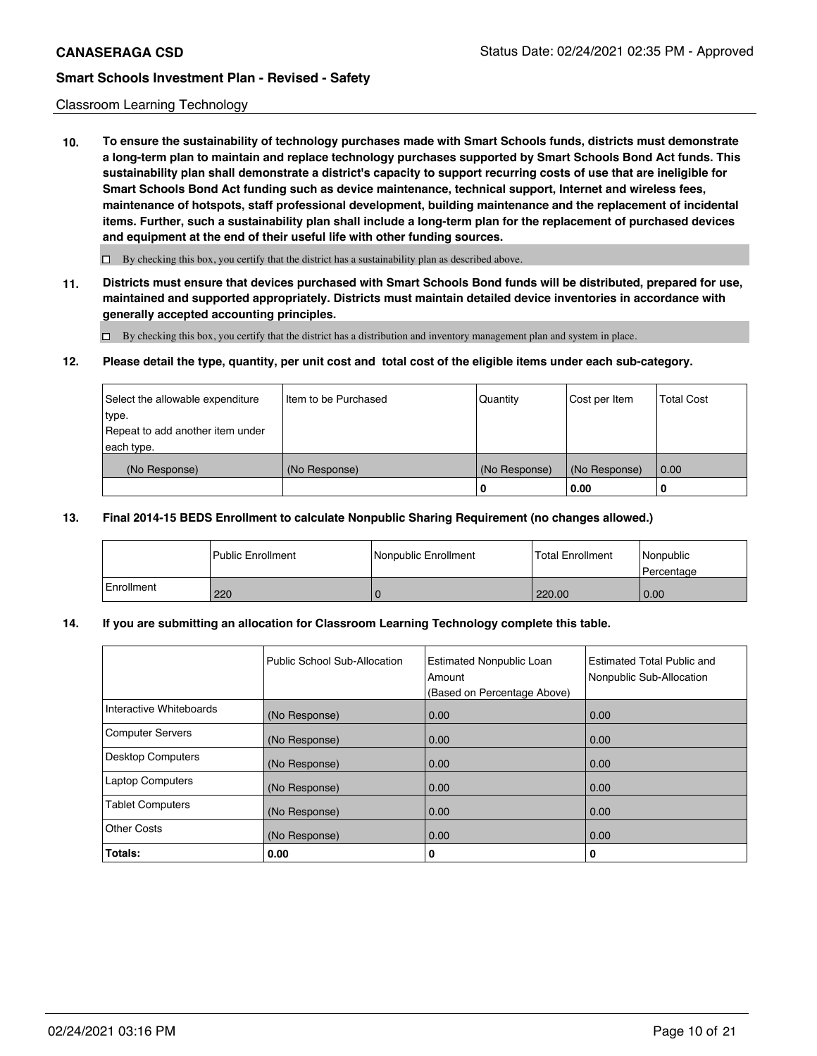#### Classroom Learning Technology

**10. To ensure the sustainability of technology purchases made with Smart Schools funds, districts must demonstrate a long-term plan to maintain and replace technology purchases supported by Smart Schools Bond Act funds. This sustainability plan shall demonstrate a district's capacity to support recurring costs of use that are ineligible for Smart Schools Bond Act funding such as device maintenance, technical support, Internet and wireless fees, maintenance of hotspots, staff professional development, building maintenance and the replacement of incidental items. Further, such a sustainability plan shall include a long-term plan for the replacement of purchased devices and equipment at the end of their useful life with other funding sources.**

 $\square$  By checking this box, you certify that the district has a sustainability plan as described above.

**11. Districts must ensure that devices purchased with Smart Schools Bond funds will be distributed, prepared for use, maintained and supported appropriately. Districts must maintain detailed device inventories in accordance with generally accepted accounting principles.**

By checking this box, you certify that the district has a distribution and inventory management plan and system in place.

#### **12. Please detail the type, quantity, per unit cost and total cost of the eligible items under each sub-category.**

| Select the allowable expenditure<br>type.<br>Repeat to add another item under<br>each type. | Item to be Purchased | Quantity           | Cost per Item         | <b>Total Cost</b> |
|---------------------------------------------------------------------------------------------|----------------------|--------------------|-----------------------|-------------------|
| (No Response)                                                                               | (No Response)        | (No Response)<br>0 | (No Response)<br>0.00 | 0.00              |

#### **13. Final 2014-15 BEDS Enrollment to calculate Nonpublic Sharing Requirement (no changes allowed.)**

|            | <b>Public Enrollment</b> | Nonpublic Enrollment | <b>Total Enrollment</b> | Nonpublic<br>l Percentage |
|------------|--------------------------|----------------------|-------------------------|---------------------------|
| Enrollment | 220                      |                      | 220.00                  | 0.00                      |

#### **14. If you are submitting an allocation for Classroom Learning Technology complete this table.**

|                          | Public School Sub-Allocation | <b>Estimated Nonpublic Loan</b><br>Amount<br>(Based on Percentage Above) | Estimated Total Public and<br>Nonpublic Sub-Allocation |
|--------------------------|------------------------------|--------------------------------------------------------------------------|--------------------------------------------------------|
| Interactive Whiteboards  | (No Response)                | 0.00                                                                     | 0.00                                                   |
| Computer Servers         | (No Response)                | 0.00                                                                     | 0.00                                                   |
| <b>Desktop Computers</b> | (No Response)                | 0.00                                                                     | 0.00                                                   |
| <b>Laptop Computers</b>  | (No Response)                | 0.00                                                                     | 0.00                                                   |
| <b>Tablet Computers</b>  | (No Response)                | 0.00                                                                     | 0.00                                                   |
| <b>Other Costs</b>       | (No Response)                | 0.00                                                                     | 0.00                                                   |
| Totals:                  | 0.00                         | 0                                                                        | 0                                                      |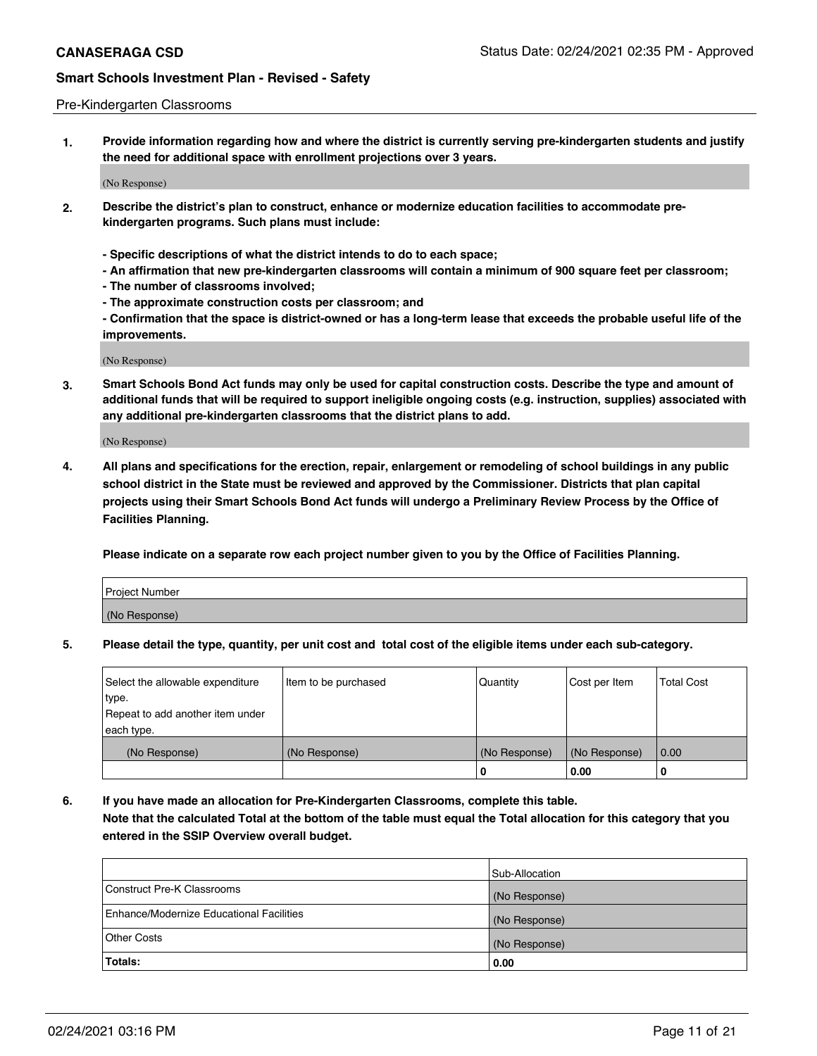#### Pre-Kindergarten Classrooms

**1. Provide information regarding how and where the district is currently serving pre-kindergarten students and justify the need for additional space with enrollment projections over 3 years.**

(No Response)

- **2. Describe the district's plan to construct, enhance or modernize education facilities to accommodate prekindergarten programs. Such plans must include:**
	- **Specific descriptions of what the district intends to do to each space;**
	- **An affirmation that new pre-kindergarten classrooms will contain a minimum of 900 square feet per classroom;**
	- **The number of classrooms involved;**
	- **The approximate construction costs per classroom; and**
	- **Confirmation that the space is district-owned or has a long-term lease that exceeds the probable useful life of the improvements.**

(No Response)

**3. Smart Schools Bond Act funds may only be used for capital construction costs. Describe the type and amount of additional funds that will be required to support ineligible ongoing costs (e.g. instruction, supplies) associated with any additional pre-kindergarten classrooms that the district plans to add.**

(No Response)

**4. All plans and specifications for the erection, repair, enlargement or remodeling of school buildings in any public school district in the State must be reviewed and approved by the Commissioner. Districts that plan capital projects using their Smart Schools Bond Act funds will undergo a Preliminary Review Process by the Office of Facilities Planning.**

**Please indicate on a separate row each project number given to you by the Office of Facilities Planning.**

| Project Number |  |
|----------------|--|
| (No Response)  |  |
|                |  |

**5. Please detail the type, quantity, per unit cost and total cost of the eligible items under each sub-category.**

| Select the allowable expenditure | Item to be purchased | Quantity      | Cost per Item | <b>Total Cost</b> |
|----------------------------------|----------------------|---------------|---------------|-------------------|
| type.                            |                      |               |               |                   |
| Repeat to add another item under |                      |               |               |                   |
| each type.                       |                      |               |               |                   |
| (No Response)                    | (No Response)        | (No Response) | (No Response) | 0.00              |
|                                  |                      | υ             | 0.00          |                   |

**6. If you have made an allocation for Pre-Kindergarten Classrooms, complete this table. Note that the calculated Total at the bottom of the table must equal the Total allocation for this category that you entered in the SSIP Overview overall budget.**

|                                          | Sub-Allocation |
|------------------------------------------|----------------|
| Construct Pre-K Classrooms               | (No Response)  |
| Enhance/Modernize Educational Facilities | (No Response)  |
| <b>Other Costs</b>                       | (No Response)  |
| Totals:                                  | 0.00           |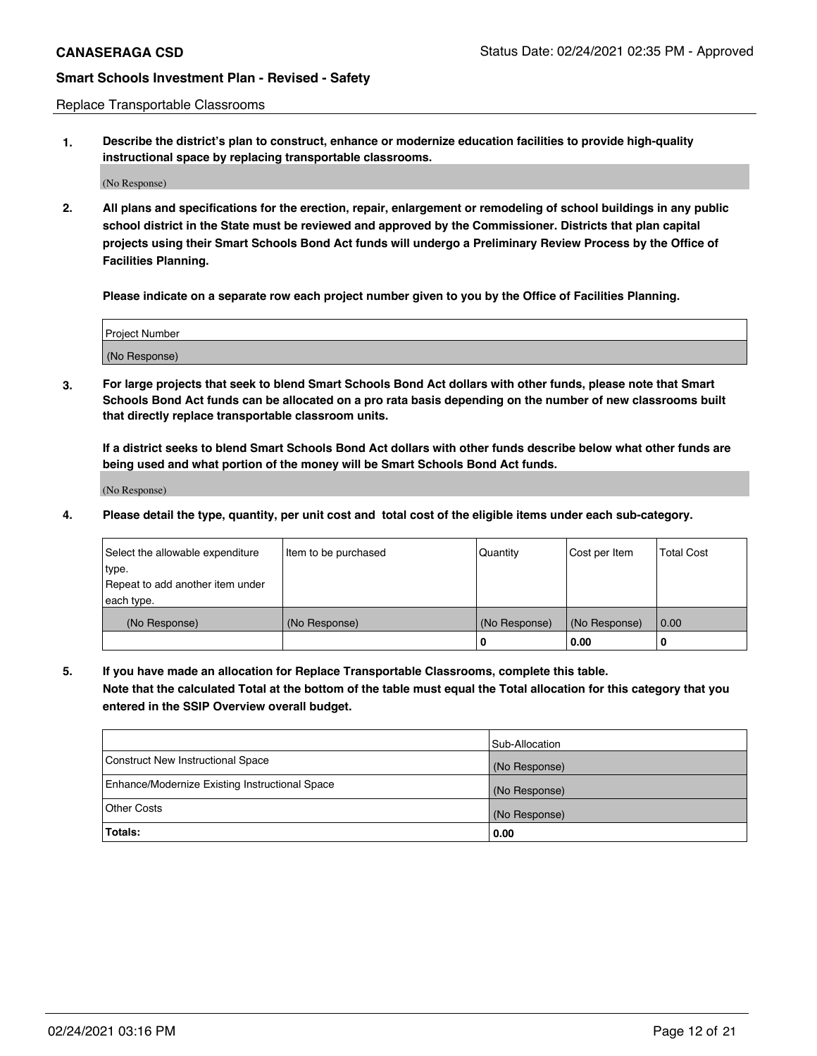Replace Transportable Classrooms

**1. Describe the district's plan to construct, enhance or modernize education facilities to provide high-quality instructional space by replacing transportable classrooms.**

(No Response)

**2. All plans and specifications for the erection, repair, enlargement or remodeling of school buildings in any public school district in the State must be reviewed and approved by the Commissioner. Districts that plan capital projects using their Smart Schools Bond Act funds will undergo a Preliminary Review Process by the Office of Facilities Planning.**

**Please indicate on a separate row each project number given to you by the Office of Facilities Planning.**

| Project Number |  |
|----------------|--|
|                |  |
|                |  |
| (No Response)  |  |
|                |  |

**3. For large projects that seek to blend Smart Schools Bond Act dollars with other funds, please note that Smart Schools Bond Act funds can be allocated on a pro rata basis depending on the number of new classrooms built that directly replace transportable classroom units.**

**If a district seeks to blend Smart Schools Bond Act dollars with other funds describe below what other funds are being used and what portion of the money will be Smart Schools Bond Act funds.**

(No Response)

**4. Please detail the type, quantity, per unit cost and total cost of the eligible items under each sub-category.**

| Select the allowable expenditure<br>∣type. | Item to be purchased | Quantity      | Cost per Item | Total Cost |
|--------------------------------------------|----------------------|---------------|---------------|------------|
| Repeat to add another item under           |                      |               |               |            |
| each type.<br>(No Response)                | (No Response)        | (No Response) | (No Response) | 0.00       |
|                                            |                      | u             | 0.00          | -0         |

**5. If you have made an allocation for Replace Transportable Classrooms, complete this table. Note that the calculated Total at the bottom of the table must equal the Total allocation for this category that you entered in the SSIP Overview overall budget.**

|                                                | Sub-Allocation |
|------------------------------------------------|----------------|
| Construct New Instructional Space              | (No Response)  |
| Enhance/Modernize Existing Instructional Space | (No Response)  |
| Other Costs                                    | (No Response)  |
| Totals:                                        | 0.00           |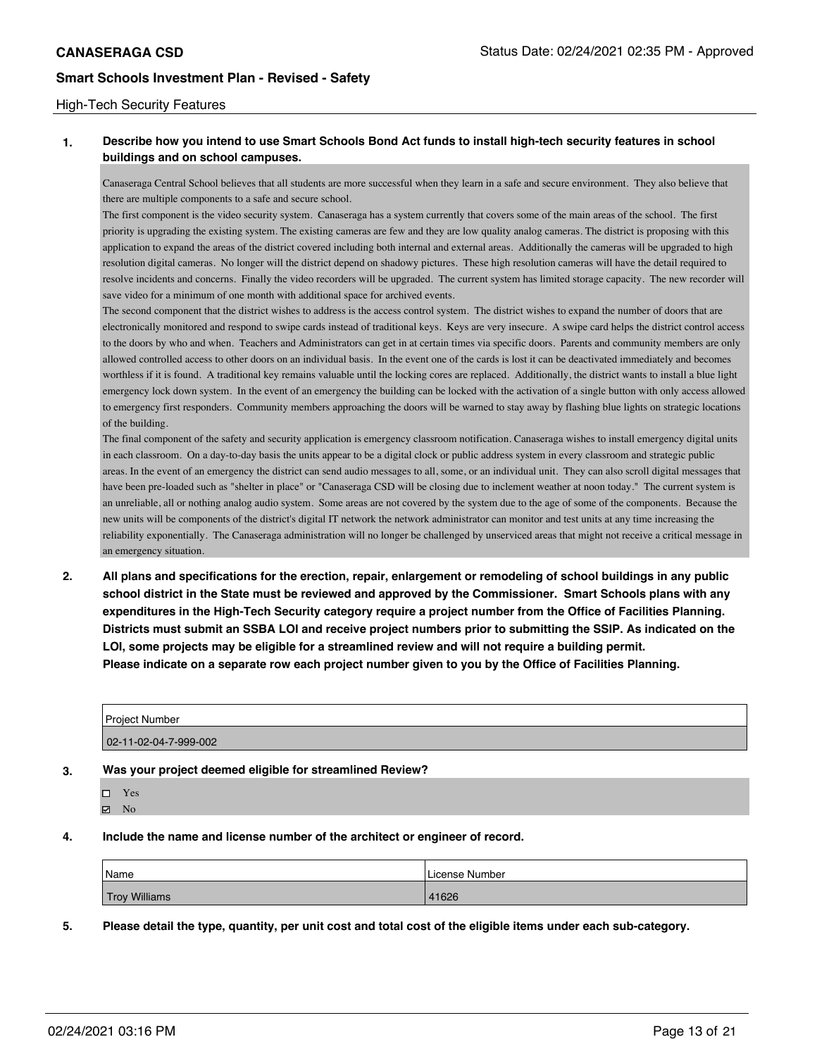#### High-Tech Security Features

## **1. Describe how you intend to use Smart Schools Bond Act funds to install high-tech security features in school buildings and on school campuses.**

Canaseraga Central School believes that all students are more successful when they learn in a safe and secure environment. They also believe that there are multiple components to a safe and secure school.

The first component is the video security system. Canaseraga has a system currently that covers some of the main areas of the school. The first priority is upgrading the existing system. The existing cameras are few and they are low quality analog cameras. The district is proposing with this application to expand the areas of the district covered including both internal and external areas. Additionally the cameras will be upgraded to high resolution digital cameras. No longer will the district depend on shadowy pictures. These high resolution cameras will have the detail required to resolve incidents and concerns. Finally the video recorders will be upgraded. The current system has limited storage capacity. The new recorder will save video for a minimum of one month with additional space for archived events.

The second component that the district wishes to address is the access control system. The district wishes to expand the number of doors that are electronically monitored and respond to swipe cards instead of traditional keys. Keys are very insecure. A swipe card helps the district control access to the doors by who and when. Teachers and Administrators can get in at certain times via specific doors. Parents and community members are only allowed controlled access to other doors on an individual basis. In the event one of the cards is lost it can be deactivated immediately and becomes worthless if it is found. A traditional key remains valuable until the locking cores are replaced. Additionally, the district wants to install a blue light emergency lock down system. In the event of an emergency the building can be locked with the activation of a single button with only access allowed to emergency first responders. Community members approaching the doors will be warned to stay away by flashing blue lights on strategic locations of the building.

The final component of the safety and security application is emergency classroom notification. Canaseraga wishes to install emergency digital units in each classroom. On a day-to-day basis the units appear to be a digital clock or public address system in every classroom and strategic public areas. In the event of an emergency the district can send audio messages to all, some, or an individual unit. They can also scroll digital messages that have been pre-loaded such as "shelter in place" or "Canaseraga CSD will be closing due to inclement weather at noon today." The current system is an unreliable, all or nothing analog audio system. Some areas are not covered by the system due to the age of some of the components. Because the new units will be components of the district's digital IT network the network administrator can monitor and test units at any time increasing the reliability exponentially. The Canaseraga administration will no longer be challenged by unserviced areas that might not receive a critical message in an emergency situation.

**2. All plans and specifications for the erection, repair, enlargement or remodeling of school buildings in any public school district in the State must be reviewed and approved by the Commissioner. Smart Schools plans with any expenditures in the High-Tech Security category require a project number from the Office of Facilities Planning. Districts must submit an SSBA LOI and receive project numbers prior to submitting the SSIP. As indicated on the LOI, some projects may be eligible for a streamlined review and will not require a building permit. Please indicate on a separate row each project number given to you by the Office of Facilities Planning.**

| <b>Project Number</b>               |  |
|-------------------------------------|--|
| $02 - 11 - 02 - 04 - 7 - 999 - 002$ |  |

**3. Was your project deemed eligible for streamlined Review?**

- □ Yes
- **Ø** No
- **4. Include the name and license number of the architect or engineer of record.**

| 'Name                | License Number |
|----------------------|----------------|
| <b>Troy Williams</b> | 41626          |

**5. Please detail the type, quantity, per unit cost and total cost of the eligible items under each sub-category.**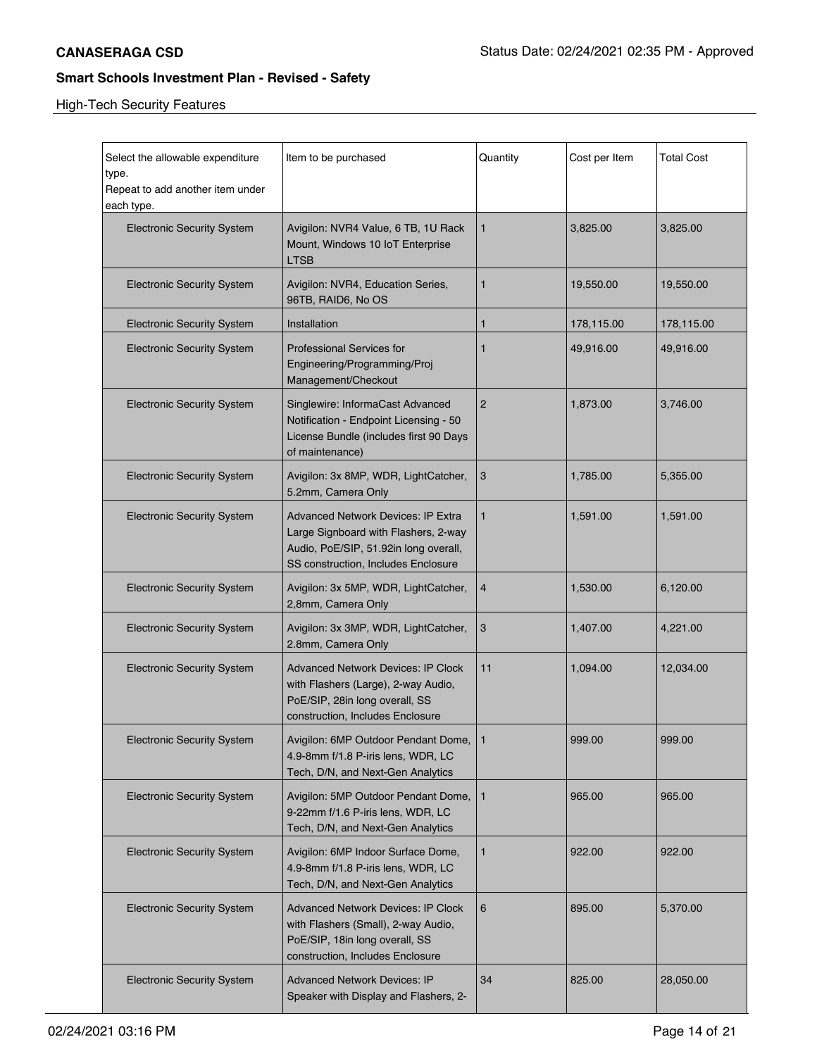| Select the allowable expenditure<br>type.<br>Repeat to add another item under<br>each type. | Item to be purchased                                                                                                                                       | Quantity       | Cost per Item | <b>Total Cost</b> |
|---------------------------------------------------------------------------------------------|------------------------------------------------------------------------------------------------------------------------------------------------------------|----------------|---------------|-------------------|
| <b>Electronic Security System</b>                                                           | Avigilon: NVR4 Value, 6 TB, 1U Rack<br>Mount, Windows 10 IoT Enterprise<br><b>LTSB</b>                                                                     | $\mathbf{1}$   | 3,825.00      | 3,825.00          |
| <b>Electronic Security System</b>                                                           | Avigilon: NVR4, Education Series,<br>96TB, RAID6, No OS                                                                                                    | 1              | 19,550.00     | 19,550.00         |
| <b>Electronic Security System</b>                                                           | Installation                                                                                                                                               | 1              | 178,115.00    | 178,115.00        |
| <b>Electronic Security System</b>                                                           | <b>Professional Services for</b><br>Engineering/Programming/Proj<br>Management/Checkout                                                                    | 1              | 49,916.00     | 49,916.00         |
| <b>Electronic Security System</b>                                                           | Singlewire: InformaCast Advanced<br>Notification - Endpoint Licensing - 50<br>License Bundle (includes first 90 Days<br>of maintenance)                    | $\overline{2}$ | 1,873.00      | 3,746.00          |
| <b>Electronic Security System</b>                                                           | Avigilon: 3x 8MP, WDR, LightCatcher,<br>5.2mm, Camera Only                                                                                                 | 3              | 1,785.00      | 5,355.00          |
| <b>Electronic Security System</b>                                                           | Advanced Network Devices: IP Extra<br>Large Signboard with Flashers, 2-way<br>Audio, PoE/SIP, 51.92in long overall,<br>SS construction, Includes Enclosure | $\mathbf{1}$   | 1,591.00      | 1,591.00          |
| <b>Electronic Security System</b>                                                           | Avigilon: 3x 5MP, WDR, LightCatcher,<br>2,8mm, Camera Only                                                                                                 | $\overline{4}$ | 1,530.00      | 6,120.00          |
| <b>Electronic Security System</b>                                                           | Avigilon: 3x 3MP, WDR, LightCatcher,<br>2.8mm, Camera Only                                                                                                 | 3              | 1,407.00      | 4,221.00          |
| <b>Electronic Security System</b>                                                           | <b>Advanced Network Devices: IP Clock</b><br>with Flashers (Large), 2-way Audio,<br>PoE/SIP, 28in long overall, SS<br>construction, Includes Enclosure     | 11             | 1,094.00      | 12,034.00         |
| <b>Electronic Security System</b>                                                           | Avigilon: 6MP Outdoor Pendant Dome, 1<br>4.9-8mm f/1.8 P-iris lens, WDR, LC<br>Tech, D/N, and Next-Gen Analytics                                           |                | 999.00        | 999.00            |
| <b>Electronic Security System</b>                                                           | Avigilon: 5MP Outdoor Pendant Dome,<br>9-22mm f/1.6 P-iris lens, WDR, LC<br>Tech, D/N, and Next-Gen Analytics                                              | $\mathbf{1}$   | 965.00        | 965.00            |
| <b>Electronic Security System</b>                                                           | Avigilon: 6MP Indoor Surface Dome,<br>4.9-8mm f/1.8 P-iris lens, WDR, LC<br>Tech, D/N, and Next-Gen Analytics                                              | $\mathbf{1}$   | 922.00        | 922.00            |
| <b>Electronic Security System</b>                                                           | <b>Advanced Network Devices: IP Clock</b><br>with Flashers (Small), 2-way Audio,<br>PoE/SIP, 18in long overall, SS<br>construction, Includes Enclosure     | 6              | 895.00        | 5,370.00          |
| <b>Electronic Security System</b>                                                           | <b>Advanced Network Devices: IP</b><br>Speaker with Display and Flashers, 2-                                                                               | 34             | 825.00        | 28,050.00         |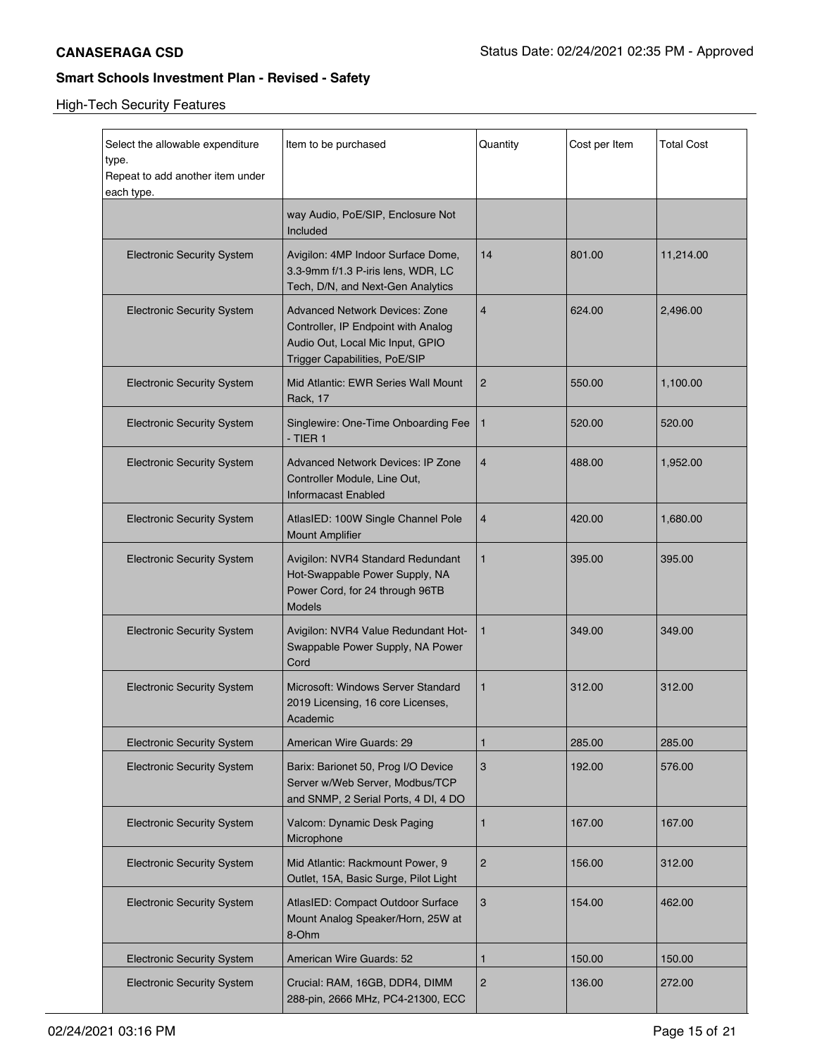| Select the allowable expenditure<br>type.<br>Repeat to add another item under<br>each type. | Item to be purchased                                                                                                                              | Quantity       | Cost per Item | Total Cost |
|---------------------------------------------------------------------------------------------|---------------------------------------------------------------------------------------------------------------------------------------------------|----------------|---------------|------------|
|                                                                                             | way Audio, PoE/SIP, Enclosure Not<br>Included                                                                                                     |                |               |            |
| <b>Electronic Security System</b>                                                           | Avigilon: 4MP Indoor Surface Dome,<br>3.3-9mm f/1.3 P-iris lens, WDR, LC<br>Tech, D/N, and Next-Gen Analytics                                     | 14             | 801.00        | 11,214.00  |
| <b>Electronic Security System</b>                                                           | <b>Advanced Network Devices: Zone</b><br>Controller, IP Endpoint with Analog<br>Audio Out, Local Mic Input, GPIO<br>Trigger Capabilities, PoE/SIP | $\overline{4}$ | 624.00        | 2,496.00   |
| <b>Electronic Security System</b>                                                           | Mid Atlantic: EWR Series Wall Mount<br>Rack, 17                                                                                                   | $\overline{2}$ | 550.00        | 1,100.00   |
| <b>Electronic Security System</b>                                                           | Singlewire: One-Time Onboarding Fee<br>- TIER 1                                                                                                   | $\mathbf{1}$   | 520.00        | 520.00     |
| <b>Electronic Security System</b>                                                           | <b>Advanced Network Devices: IP Zone</b><br>Controller Module, Line Out,<br>Informacast Enabled                                                   | $\overline{4}$ | 488.00        | 1,952.00   |
| <b>Electronic Security System</b>                                                           | AtlasIED: 100W Single Channel Pole<br><b>Mount Amplifier</b>                                                                                      | $\overline{4}$ | 420.00        | 1,680.00   |
| <b>Electronic Security System</b>                                                           | Avigilon: NVR4 Standard Redundant<br>Hot-Swappable Power Supply, NA<br>Power Cord, for 24 through 96TB<br><b>Models</b>                           | $\mathbf{1}$   | 395.00        | 395.00     |
| <b>Electronic Security System</b>                                                           | Avigilon: NVR4 Value Redundant Hot-<br>Swappable Power Supply, NA Power<br>Cord                                                                   | $\mathbf{1}$   | 349.00        | 349.00     |
| <b>Electronic Security System</b>                                                           | Microsoft: Windows Server Standard<br>2019 Licensing, 16 core Licenses,<br>Academic                                                               | $\mathbf{1}$   | 312.00        | 312.00     |
| <b>Electronic Security System</b>                                                           | American Wire Guards: 29                                                                                                                          | $\mathbf{1}$   | 285.00        | 285.00     |
| <b>Electronic Security System</b>                                                           | Barix: Barionet 50, Prog I/O Device<br>Server w/Web Server, Modbus/TCP<br>and SNMP, 2 Serial Ports, 4 DI, 4 DO                                    | $\sqrt{3}$     | 192.00        | 576.00     |
| <b>Electronic Security System</b>                                                           | Valcom: Dynamic Desk Paging<br>Microphone                                                                                                         | $\mathbf{1}$   | 167.00        | 167.00     |
| <b>Electronic Security System</b>                                                           | Mid Atlantic: Rackmount Power, 9<br>Outlet, 15A, Basic Surge, Pilot Light                                                                         | $\sqrt{2}$     | 156.00        | 312.00     |
| <b>Electronic Security System</b>                                                           | AtlasIED: Compact Outdoor Surface<br>Mount Analog Speaker/Horn, 25W at<br>8-Ohm                                                                   | 3              | 154.00        | 462.00     |
| <b>Electronic Security System</b>                                                           | American Wire Guards: 52                                                                                                                          | 1              | 150.00        | 150.00     |
| <b>Electronic Security System</b>                                                           | Crucial: RAM, 16GB, DDR4, DIMM<br>288-pin, 2666 MHz, PC4-21300, ECC                                                                               | $\overline{2}$ | 136.00        | 272.00     |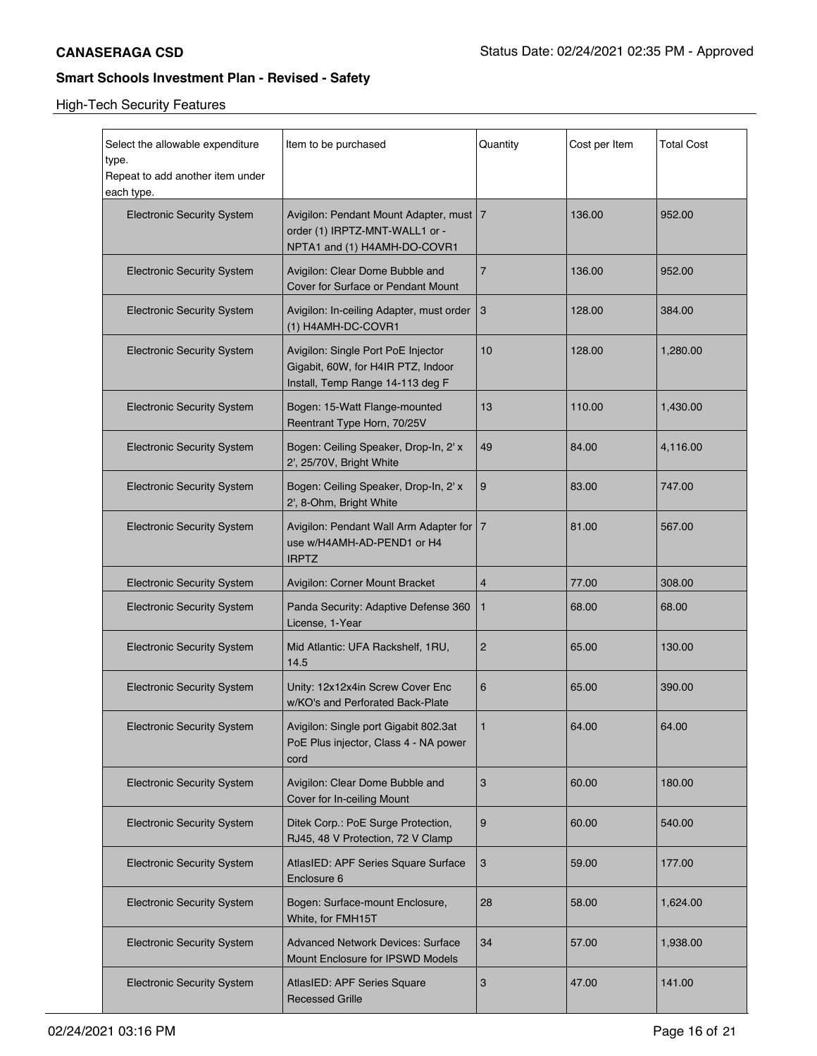| Select the allowable expenditure<br>type.<br>Repeat to add another item under<br>each type. | Item to be purchased                                                                                         | Quantity | Cost per Item | <b>Total Cost</b> |
|---------------------------------------------------------------------------------------------|--------------------------------------------------------------------------------------------------------------|----------|---------------|-------------------|
| <b>Electronic Security System</b>                                                           | Avigilon: Pendant Mount Adapter, must   7<br>order (1) IRPTZ-MNT-WALL1 or -<br>NPTA1 and (1) H4AMH-DO-COVR1  |          | 136.00        | 952.00            |
| <b>Electronic Security System</b>                                                           | Avigilon: Clear Dome Bubble and<br>Cover for Surface or Pendant Mount                                        | 7        | 136.00        | 952.00            |
| <b>Electronic Security System</b>                                                           | Avigilon: In-ceiling Adapter, must order<br>(1) H4AMH-DC-COVR1                                               | 3        | 128.00        | 384.00            |
| <b>Electronic Security System</b>                                                           | Avigilon: Single Port PoE Injector<br>Gigabit, 60W, for H4IR PTZ, Indoor<br>Install, Temp Range 14-113 deg F | 10       | 128.00        | 1,280.00          |
| <b>Electronic Security System</b>                                                           | Bogen: 15-Watt Flange-mounted<br>Reentrant Type Horn, 70/25V                                                 | 13       | 110.00        | 1,430.00          |
| <b>Electronic Security System</b>                                                           | Bogen: Ceiling Speaker, Drop-In, 2' x<br>2', 25/70V, Bright White                                            | 49       | 84.00         | 4,116.00          |
| <b>Electronic Security System</b>                                                           | Bogen: Ceiling Speaker, Drop-In, 2' x<br>2', 8-Ohm, Bright White                                             | 9        | 83.00         | 747.00            |
| <b>Electronic Security System</b>                                                           | Avigilon: Pendant Wall Arm Adapter for   7<br>use w/H4AMH-AD-PEND1 or H4<br><b>IRPTZ</b>                     |          | 81.00         | 567.00            |
| <b>Electronic Security System</b>                                                           | Avigilon: Corner Mount Bracket                                                                               | 4        | 77.00         | 308.00            |
| <b>Electronic Security System</b>                                                           | Panda Security: Adaptive Defense 360<br>License, 1-Year                                                      | 1        | 68.00         | 68.00             |
| <b>Electronic Security System</b>                                                           | Mid Atlantic: UFA Rackshelf, 1RU,<br>14.5                                                                    | 2        | 65.00         | 130.00            |
| <b>Electronic Security System</b>                                                           | Unity: 12x12x4in Screw Cover Enc<br>w/KO's and Perforated Back-Plate                                         | 6        | 65.00         | 390.00            |
| <b>Electronic Security System</b>                                                           | Avigilon: Single port Gigabit 802.3at<br>PoE Plus injector, Class 4 - NA power<br>cord                       |          | 64.00         | 64.00             |
| <b>Electronic Security System</b>                                                           | Avigilon: Clear Dome Bubble and<br>Cover for In-ceiling Mount                                                | 3        | 60.00         | 180.00            |
| <b>Electronic Security System</b>                                                           | Ditek Corp.: PoE Surge Protection,<br>RJ45, 48 V Protection, 72 V Clamp                                      | 9        | 60.00         | 540.00            |
| <b>Electronic Security System</b>                                                           | AtlasIED: APF Series Square Surface<br>Enclosure 6                                                           | 3        | 59.00         | 177.00            |
| <b>Electronic Security System</b>                                                           | Bogen: Surface-mount Enclosure,<br>White, for FMH15T                                                         | 28       | 58.00         | 1,624.00          |
| <b>Electronic Security System</b>                                                           | <b>Advanced Network Devices: Surface</b><br>Mount Enclosure for IPSWD Models                                 | 34       | 57.00         | 1,938.00          |
| <b>Electronic Security System</b>                                                           | AtlasIED: APF Series Square<br><b>Recessed Grille</b>                                                        | 3        | 47.00         | 141.00            |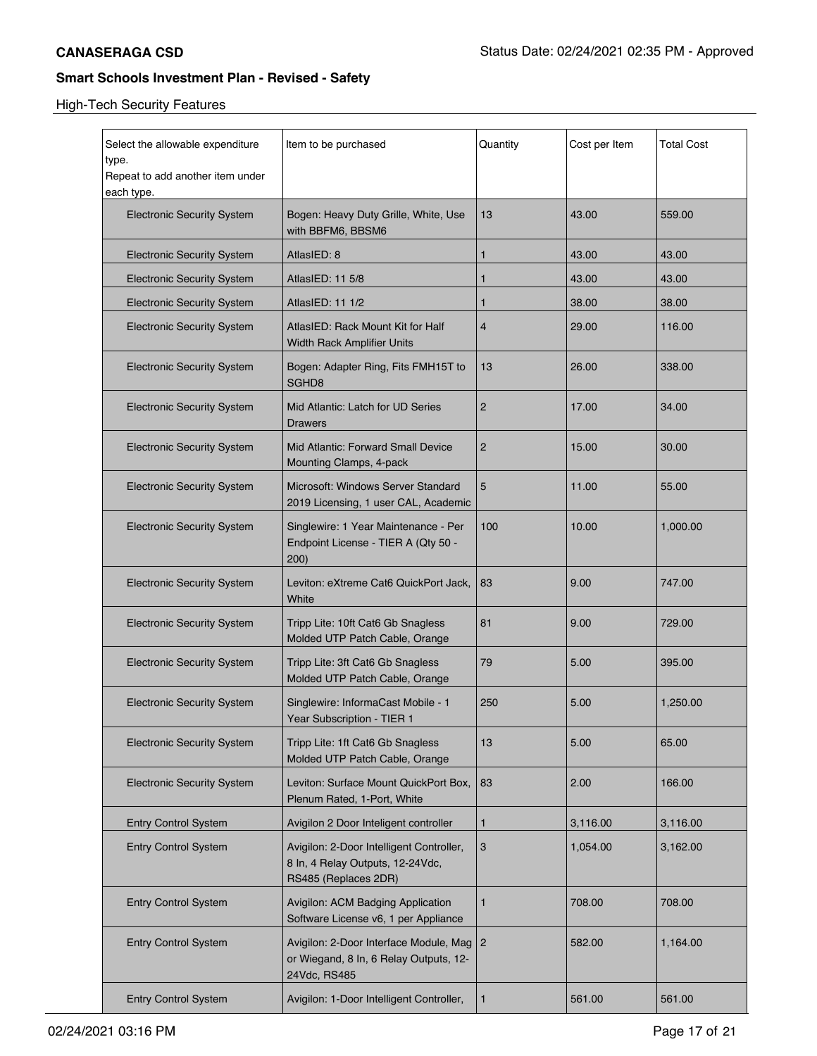| Select the allowable expenditure<br>type.      | Item to be purchased                                                                                 | Quantity       | Cost per Item | Total Cost |
|------------------------------------------------|------------------------------------------------------------------------------------------------------|----------------|---------------|------------|
| Repeat to add another item under<br>each type. |                                                                                                      |                |               |            |
| <b>Electronic Security System</b>              | Bogen: Heavy Duty Grille, White, Use<br>with BBFM6, BBSM6                                            | 13             | 43.00         | 559.00     |
| <b>Electronic Security System</b>              | AtlasIED: 8                                                                                          | 1              | 43.00         | 43.00      |
| <b>Electronic Security System</b>              | AtlasIED: 11 5/8                                                                                     | 1              | 43.00         | 43.00      |
| <b>Electronic Security System</b>              | AtlasIED: 11 1/2                                                                                     | 1              | 38.00         | 38.00      |
| <b>Electronic Security System</b>              | AtlasIED: Rack Mount Kit for Half<br>Width Rack Amplifier Units                                      | 4              | 29.00         | 116.00     |
| <b>Electronic Security System</b>              | Bogen: Adapter Ring, Fits FMH15T to<br>SGHD8                                                         | 13             | 26.00         | 338.00     |
| <b>Electronic Security System</b>              | Mid Atlantic: Latch for UD Series<br><b>Drawers</b>                                                  | $\overline{c}$ | 17.00         | 34.00      |
| <b>Electronic Security System</b>              | Mid Atlantic: Forward Small Device<br>Mounting Clamps, 4-pack                                        | $\overline{c}$ | 15.00         | 30.00      |
| <b>Electronic Security System</b>              | Microsoft: Windows Server Standard<br>2019 Licensing, 1 user CAL, Academic                           | 5              | 11.00         | 55.00      |
| <b>Electronic Security System</b>              | Singlewire: 1 Year Maintenance - Per<br>Endpoint License - TIER A (Qty 50 -<br>200)                  | 100            | 10.00         | 1,000.00   |
| <b>Electronic Security System</b>              | Leviton: eXtreme Cat6 QuickPort Jack,<br>White                                                       | 83             | 9.00          | 747.00     |
| <b>Electronic Security System</b>              | Tripp Lite: 10ft Cat6 Gb Snagless<br>Molded UTP Patch Cable, Orange                                  | 81             | 9.00          | 729.00     |
| <b>Electronic Security System</b>              | Tripp Lite: 3ft Cat6 Gb Snagless<br>Molded UTP Patch Cable, Orange                                   | 79             | 5.00          | 395.00     |
| <b>Electronic Security System</b>              | Singlewire: InformaCast Mobile - 1<br>Year Subscription - TIER 1                                     | 250            | 5.00          | 1,250.00   |
| <b>Electronic Security System</b>              | Tripp Lite: 1ft Cat6 Gb Snagless<br>Molded UTP Patch Cable, Orange                                   | 13             | 5.00          | 65.00      |
| <b>Electronic Security System</b>              | Leviton: Surface Mount QuickPort Box,<br>Plenum Rated, 1-Port, White                                 | 83             | 2.00          | 166.00     |
| <b>Entry Control System</b>                    | Avigilon 2 Door Inteligent controller                                                                | 1              | 3,116.00      | 3,116.00   |
| <b>Entry Control System</b>                    | Avigilon: 2-Door Intelligent Controller,<br>8 In, 4 Relay Outputs, 12-24Vdc,<br>RS485 (Replaces 2DR) | 3              | 1,054.00      | 3,162.00   |
| <b>Entry Control System</b>                    | Avigilon: ACM Badging Application<br>Software License v6, 1 per Appliance                            | 1              | 708.00        | 708.00     |
| <b>Entry Control System</b>                    | Avigilon: 2-Door Interface Module, Mag<br>or Wiegand, 8 In, 6 Relay Outputs, 12-<br>24Vdc, RS485     | $\overline{2}$ | 582.00        | 1,164.00   |
| <b>Entry Control System</b>                    | Avigilon: 1-Door Intelligent Controller,                                                             | 1              | 561.00        | 561.00     |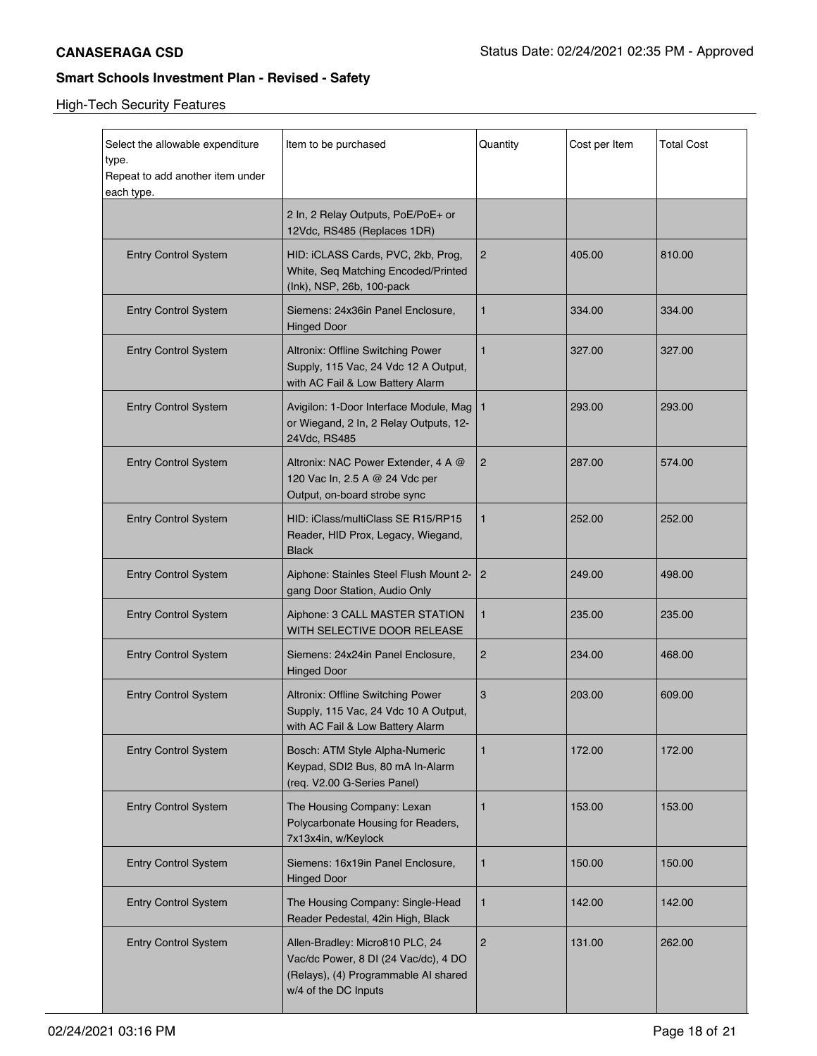| Select the allowable expenditure<br>type.<br>Repeat to add another item under<br>each type. | Item to be purchased                                                                                                                    | Quantity       | Cost per Item | Total Cost |
|---------------------------------------------------------------------------------------------|-----------------------------------------------------------------------------------------------------------------------------------------|----------------|---------------|------------|
|                                                                                             | 2 In, 2 Relay Outputs, PoE/PoE+ or<br>12Vdc, RS485 (Replaces 1DR)                                                                       |                |               |            |
| <b>Entry Control System</b>                                                                 | HID: iCLASS Cards, PVC, 2kb, Prog,<br>White, Seq Matching Encoded/Printed<br>(lnk), NSP, 26b, 100-pack                                  | $\overline{2}$ | 405.00        | 810.00     |
| <b>Entry Control System</b>                                                                 | Siemens: 24x36in Panel Enclosure,<br><b>Hinged Door</b>                                                                                 | 1              | 334.00        | 334.00     |
| <b>Entry Control System</b>                                                                 | Altronix: Offline Switching Power<br>Supply, 115 Vac, 24 Vdc 12 A Output,<br>with AC Fail & Low Battery Alarm                           | $\mathbf{1}$   | 327.00        | 327.00     |
| <b>Entry Control System</b>                                                                 | Avigilon: 1-Door Interface Module, Mag   1<br>or Wiegand, 2 In, 2 Relay Outputs, 12-<br>24Vdc, RS485                                    |                | 293.00        | 293.00     |
| <b>Entry Control System</b>                                                                 | Altronix: NAC Power Extender, 4 A @<br>120 Vac In, 2.5 A @ 24 Vdc per<br>Output, on-board strobe sync                                   | $\overline{2}$ | 287.00        | 574.00     |
| <b>Entry Control System</b>                                                                 | HID: iClass/multiClass SE R15/RP15<br>Reader, HID Prox, Legacy, Wiegand,<br><b>Black</b>                                                | 1              | 252.00        | 252.00     |
| <b>Entry Control System</b>                                                                 | Aiphone: Stainles Steel Flush Mount 2-<br>gang Door Station, Audio Only                                                                 | 2              | 249.00        | 498.00     |
| <b>Entry Control System</b>                                                                 | Aiphone: 3 CALL MASTER STATION<br>WITH SELECTIVE DOOR RELEASE                                                                           | 1              | 235.00        | 235.00     |
| <b>Entry Control System</b>                                                                 | Siemens: 24x24in Panel Enclosure,<br><b>Hinged Door</b>                                                                                 | $\overline{2}$ | 234.00        | 468.00     |
| <b>Entry Control System</b>                                                                 | Altronix: Offline Switching Power<br>Supply, 115 Vac, 24 Vdc 10 A Output,<br>with AC Fail & Low Battery Alarm                           | 3              | 203.00        | 609.00     |
| <b>Entry Control System</b>                                                                 | Bosch: ATM Style Alpha-Numeric<br>Keypad, SDI2 Bus, 80 mA In-Alarm<br>(req. V2.00 G-Series Panel)                                       | $\mathbf{1}$   | 172.00        | 172.00     |
| <b>Entry Control System</b>                                                                 | The Housing Company: Lexan<br>Polycarbonate Housing for Readers,<br>7x13x4in, w/Keylock                                                 | 1              | 153.00        | 153.00     |
| <b>Entry Control System</b>                                                                 | Siemens: 16x19in Panel Enclosure,<br><b>Hinged Door</b>                                                                                 | 1              | 150.00        | 150.00     |
| <b>Entry Control System</b>                                                                 | The Housing Company: Single-Head<br>Reader Pedestal, 42in High, Black                                                                   | 1              | 142.00        | 142.00     |
| <b>Entry Control System</b>                                                                 | Allen-Bradley: Micro810 PLC, 24<br>Vac/dc Power, 8 DI (24 Vac/dc), 4 DO<br>(Relays), (4) Programmable AI shared<br>w/4 of the DC Inputs | $\overline{2}$ | 131.00        | 262.00     |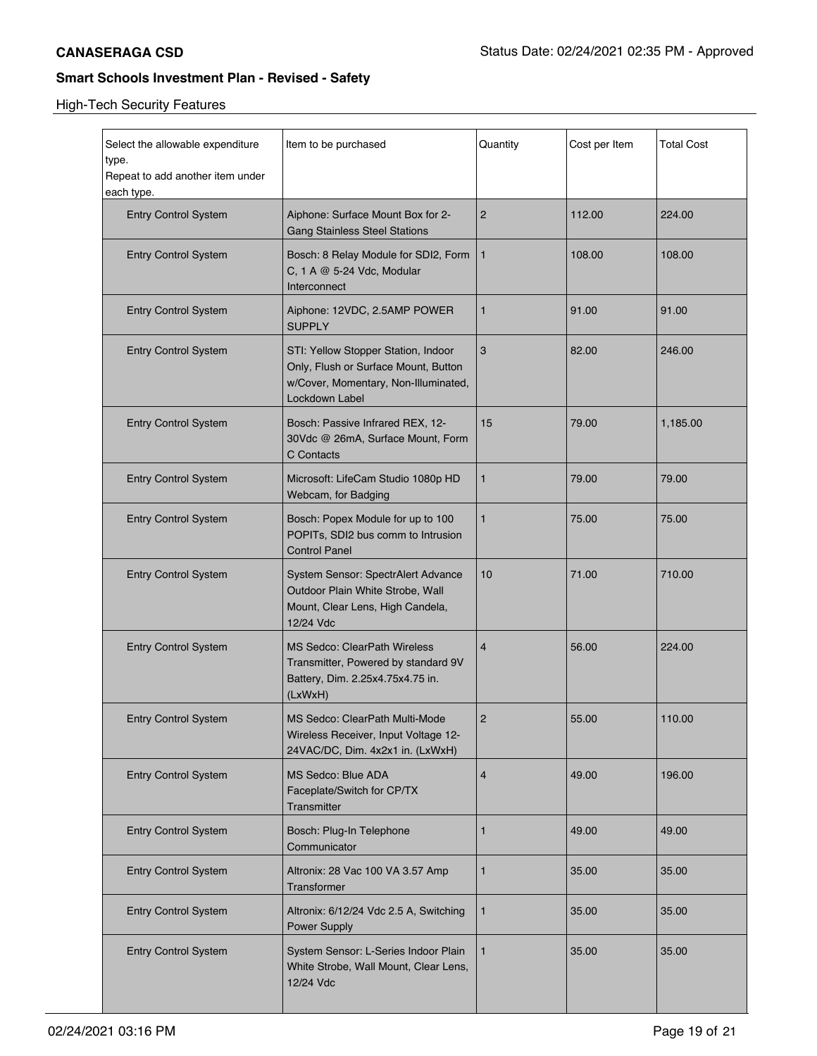| Select the allowable expenditure<br>type.<br>Repeat to add another item under<br>each type. | Item to be purchased                                                                                                                  | Quantity       | Cost per Item | Total Cost |
|---------------------------------------------------------------------------------------------|---------------------------------------------------------------------------------------------------------------------------------------|----------------|---------------|------------|
| <b>Entry Control System</b>                                                                 | Aiphone: Surface Mount Box for 2-<br><b>Gang Stainless Steel Stations</b>                                                             | $\overline{c}$ | 112.00        | 224.00     |
| <b>Entry Control System</b>                                                                 | Bosch: 8 Relay Module for SDI2, Form<br>C, 1 A @ 5-24 Vdc, Modular<br>Interconnect                                                    | $\mathbf{1}$   | 108.00        | 108.00     |
| <b>Entry Control System</b>                                                                 | Aiphone: 12VDC, 2.5AMP POWER<br><b>SUPPLY</b>                                                                                         | 1              | 91.00         | 91.00      |
| <b>Entry Control System</b>                                                                 | STI: Yellow Stopper Station, Indoor<br>Only, Flush or Surface Mount, Button<br>w/Cover, Momentary, Non-Illuminated,<br>Lockdown Label | 3              | 82.00         | 246.00     |
| <b>Entry Control System</b>                                                                 | Bosch: Passive Infrared REX, 12-<br>30Vdc @ 26mA, Surface Mount, Form<br>C Contacts                                                   | 15             | 79.00         | 1,185.00   |
| <b>Entry Control System</b>                                                                 | Microsoft: LifeCam Studio 1080p HD<br>Webcam, for Badging                                                                             | 1              | 79.00         | 79.00      |
| <b>Entry Control System</b>                                                                 | Bosch: Popex Module for up to 100<br>POPITs, SDI2 bus comm to Intrusion<br><b>Control Panel</b>                                       | 1              | 75.00         | 75.00      |
| <b>Entry Control System</b>                                                                 | System Sensor: SpectrAlert Advance<br>Outdoor Plain White Strobe, Wall<br>Mount, Clear Lens, High Candela,<br>12/24 Vdc               | 10             | 71.00         | 710.00     |
| <b>Entry Control System</b>                                                                 | <b>MS Sedco: ClearPath Wireless</b><br>Transmitter, Powered by standard 9V<br>Battery, Dim. 2.25x4.75x4.75 in.<br>(LxWxH)             | 4              | 56.00         | 224.00     |
| <b>Entry Control System</b>                                                                 | MS Sedco: ClearPath Multi-Mode<br>Wireless Receiver, Input Voltage 12-<br>24VAC/DC, Dim. 4x2x1 in. (LxWxH)                            | 2              | 55.00         | 110.00     |
| <b>Entry Control System</b>                                                                 | MS Sedco: Blue ADA<br>Faceplate/Switch for CP/TX<br>Transmitter                                                                       | 4              | 49.00         | 196.00     |
| <b>Entry Control System</b>                                                                 | Bosch: Plug-In Telephone<br>Communicator                                                                                              | 1              | 49.00         | 49.00      |
| <b>Entry Control System</b>                                                                 | Altronix: 28 Vac 100 VA 3.57 Amp<br>Transformer                                                                                       | 1              | 35.00         | 35.00      |
| <b>Entry Control System</b>                                                                 | Altronix: 6/12/24 Vdc 2.5 A, Switching<br>Power Supply                                                                                | 1              | 35.00         | 35.00      |
| <b>Entry Control System</b>                                                                 | System Sensor: L-Series Indoor Plain<br>White Strobe, Wall Mount, Clear Lens,<br>12/24 Vdc                                            | 1              | 35.00         | 35.00      |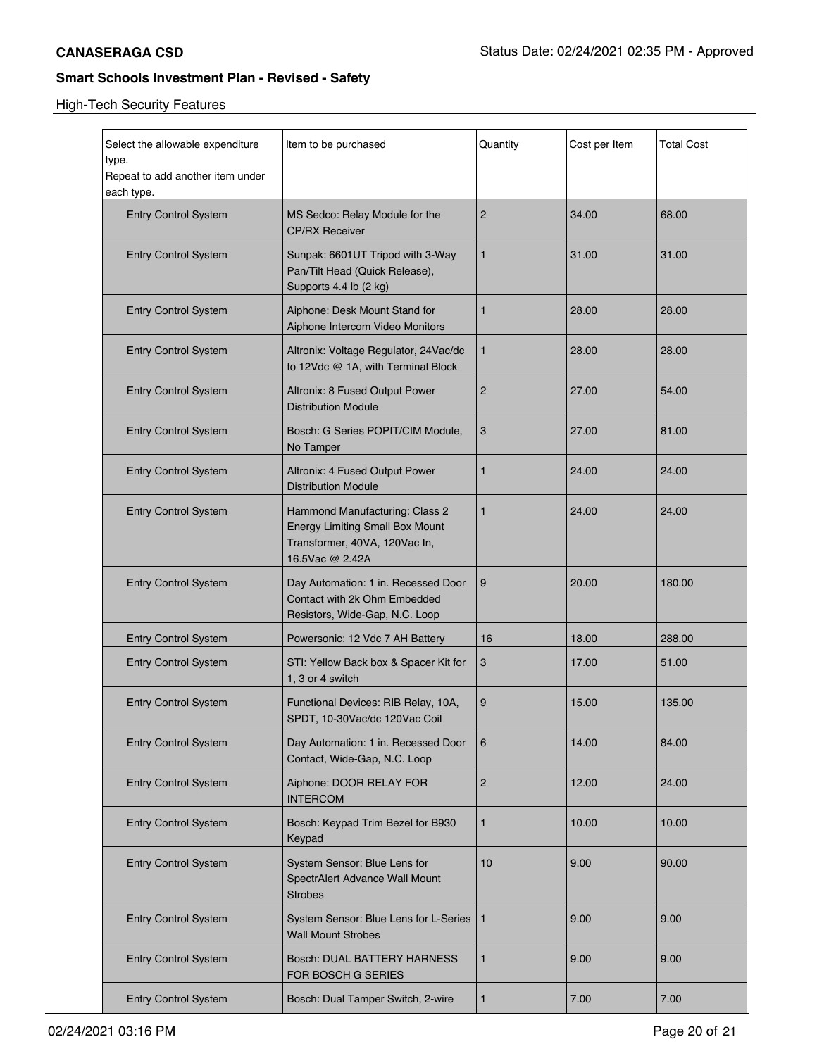| Select the allowable expenditure<br>type.<br>Repeat to add another item under | Item to be purchased                                                                                                         | Quantity       | Cost per Item | <b>Total Cost</b> |
|-------------------------------------------------------------------------------|------------------------------------------------------------------------------------------------------------------------------|----------------|---------------|-------------------|
| each type.<br><b>Entry Control System</b>                                     | MS Sedco: Relay Module for the<br><b>CP/RX Receiver</b>                                                                      | $\overline{c}$ | 34.00         | 68.00             |
| <b>Entry Control System</b>                                                   | Sunpak: 6601UT Tripod with 3-Way<br>Pan/Tilt Head (Quick Release),<br>Supports 4.4 lb (2 kg)                                 | 1              | 31.00         | 31.00             |
| <b>Entry Control System</b>                                                   | Aiphone: Desk Mount Stand for<br>Aiphone Intercom Video Monitors                                                             | 1              | 28.00         | 28.00             |
| <b>Entry Control System</b>                                                   | Altronix: Voltage Regulator, 24Vac/dc<br>to 12Vdc @ 1A, with Terminal Block                                                  | 1              | 28.00         | 28.00             |
| <b>Entry Control System</b>                                                   | Altronix: 8 Fused Output Power<br><b>Distribution Module</b>                                                                 | $\overline{2}$ | 27.00         | 54.00             |
| <b>Entry Control System</b>                                                   | Bosch: G Series POPIT/CIM Module,<br>No Tamper                                                                               | 3              | 27.00         | 81.00             |
| <b>Entry Control System</b>                                                   | Altronix: 4 Fused Output Power<br><b>Distribution Module</b>                                                                 | 1              | 24.00         | 24.00             |
| <b>Entry Control System</b>                                                   | Hammond Manufacturing: Class 2<br><b>Energy Limiting Small Box Mount</b><br>Transformer, 40VA, 120Vac In,<br>16.5Vac @ 2.42A | 1              | 24.00         | 24.00             |
| <b>Entry Control System</b>                                                   | Day Automation: 1 in. Recessed Door<br>Contact with 2k Ohm Embedded<br>Resistors, Wide-Gap, N.C. Loop                        | 9              | 20.00         | 180.00            |
| <b>Entry Control System</b>                                                   | Powersonic: 12 Vdc 7 AH Battery                                                                                              | 16             | 18.00         | 288.00            |
| <b>Entry Control System</b>                                                   | STI: Yellow Back box & Spacer Kit for<br>1, 3 or 4 switch                                                                    | 3              | 17.00         | 51.00             |
| <b>Entry Control System</b>                                                   | Functional Devices: RIB Relay, 10A,<br>SPDT, 10-30Vac/dc 120Vac Coil                                                         | 9              | 15.00         | 135.00            |
| <b>Entry Control System</b>                                                   | Day Automation: 1 in. Recessed Door<br>Contact, Wide-Gap, N.C. Loop                                                          | 6              | 14.00         | 84.00             |
| <b>Entry Control System</b>                                                   | Aiphone: DOOR RELAY FOR<br><b>INTERCOM</b>                                                                                   | $\overline{2}$ | 12.00         | 24.00             |
| <b>Entry Control System</b>                                                   | Bosch: Keypad Trim Bezel for B930<br>Keypad                                                                                  | 1              | 10.00         | 10.00             |
| <b>Entry Control System</b>                                                   | System Sensor: Blue Lens for<br>SpectrAlert Advance Wall Mount<br><b>Strobes</b>                                             | 10             | 9.00          | 90.00             |
| <b>Entry Control System</b>                                                   | System Sensor: Blue Lens for L-Series<br><b>Wall Mount Strobes</b>                                                           | $\mathbf{1}$   | 9.00          | 9.00              |
| <b>Entry Control System</b>                                                   | Bosch: DUAL BATTERY HARNESS<br>FOR BOSCH G SERIES                                                                            | 1              | 9.00          | 9.00              |
| <b>Entry Control System</b>                                                   | Bosch: Dual Tamper Switch, 2-wire                                                                                            | 1              | 7.00          | 7.00              |